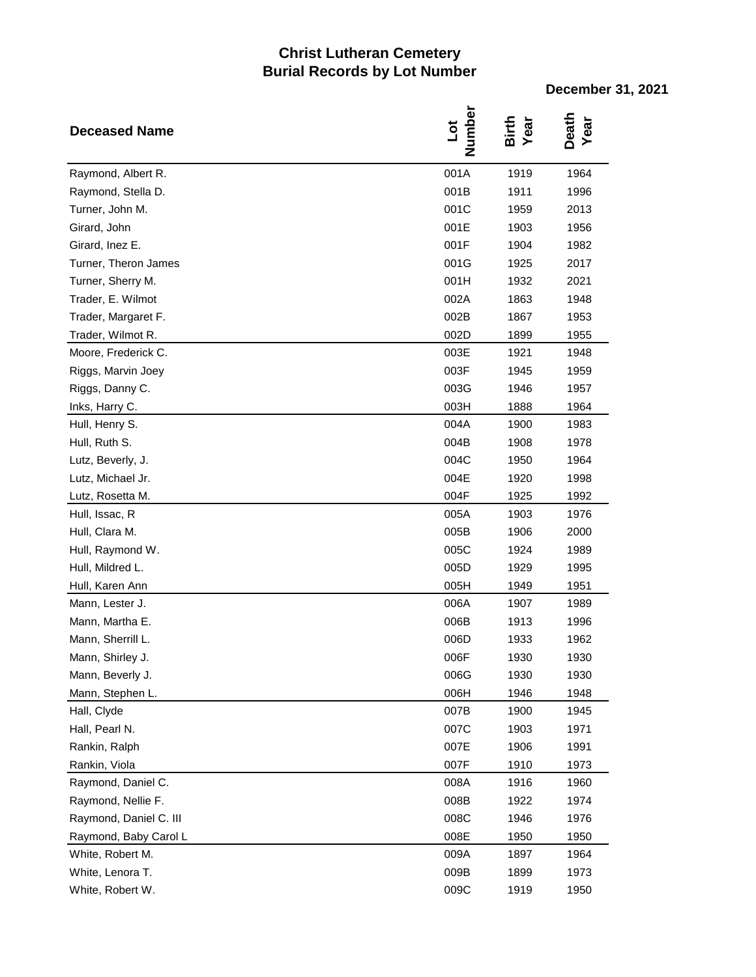## **Christ Lutheran Cemetery Burial Records by Lot Number**

**December 31, 2021**

| <b>Deceased Name</b>   | Number<br>Jot | Birth<br>Year | Death<br>Year |
|------------------------|---------------|---------------|---------------|
| Raymond, Albert R.     | 001A          | 1919          | 1964          |
| Raymond, Stella D.     | 001B          | 1911          | 1996          |
| Turner, John M.        | 001C          | 1959          | 2013          |
| Girard, John           | 001E          | 1903          | 1956          |
| Girard, Inez E.        | 001F          | 1904          | 1982          |
| Turner, Theron James   | 001G          | 1925          | 2017          |
| Turner, Sherry M.      | 001H          | 1932          | 2021          |
| Trader, E. Wilmot      | 002A          | 1863          | 1948          |
| Trader, Margaret F.    | 002B          | 1867          | 1953          |
| Trader, Wilmot R.      | 002D          | 1899          | 1955          |
| Moore, Frederick C.    | 003E          | 1921          | 1948          |
| Riggs, Marvin Joey     | 003F          | 1945          | 1959          |
| Riggs, Danny C.        | 003G          | 1946          | 1957          |
| Inks, Harry C.         | 003H          | 1888          | 1964          |
| Hull, Henry S.         | 004A          | 1900          | 1983          |
| Hull, Ruth S.          | 004B          | 1908          | 1978          |
| Lutz, Beverly, J.      | 004C          | 1950          | 1964          |
| Lutz, Michael Jr.      | 004E          | 1920          | 1998          |
| Lutz, Rosetta M.       | 004F          | 1925          | 1992          |
| Hull, Issac, R         | 005A          | 1903          | 1976          |
| Hull, Clara M.         | 005B          | 1906          | 2000          |
| Hull, Raymond W.       | 005C          | 1924          | 1989          |
| Hull, Mildred L.       | 005D          | 1929          | 1995          |
| Hull, Karen Ann        | 005H          | 1949          | 1951          |
| Mann, Lester J.        | 006A          | 1907          | 1989          |
| Mann, Martha E.        | 006B          | 1913          | 1996          |
| Mann, Sherrill L.      | 006D          | 1933          | 1962          |
| Mann, Shirley J.       | 006F          | 1930          | 1930          |
| Mann, Beverly J.       | 006G          | 1930          | 1930          |
| Mann, Stephen L.       | 006H          | 1946          | 1948          |
| Hall, Clyde            | 007B          | 1900          | 1945          |
| Hall, Pearl N.         | 007C          | 1903          | 1971          |
| Rankin, Ralph          | 007E          | 1906          | 1991          |
| Rankin, Viola          | 007F          | 1910          | 1973          |
| Raymond, Daniel C.     | 008A          | 1916          | 1960          |
| Raymond, Nellie F.     | 008B          | 1922          | 1974          |
| Raymond, Daniel C. III | 008C          | 1946          | 1976          |
| Raymond, Baby Carol L  | 008E          | 1950          | 1950          |
| White, Robert M.       | 009A          | 1897          | 1964          |
| White, Lenora T.       | 009B          | 1899          | 1973          |
| White, Robert W.       | 009C          | 1919          | 1950          |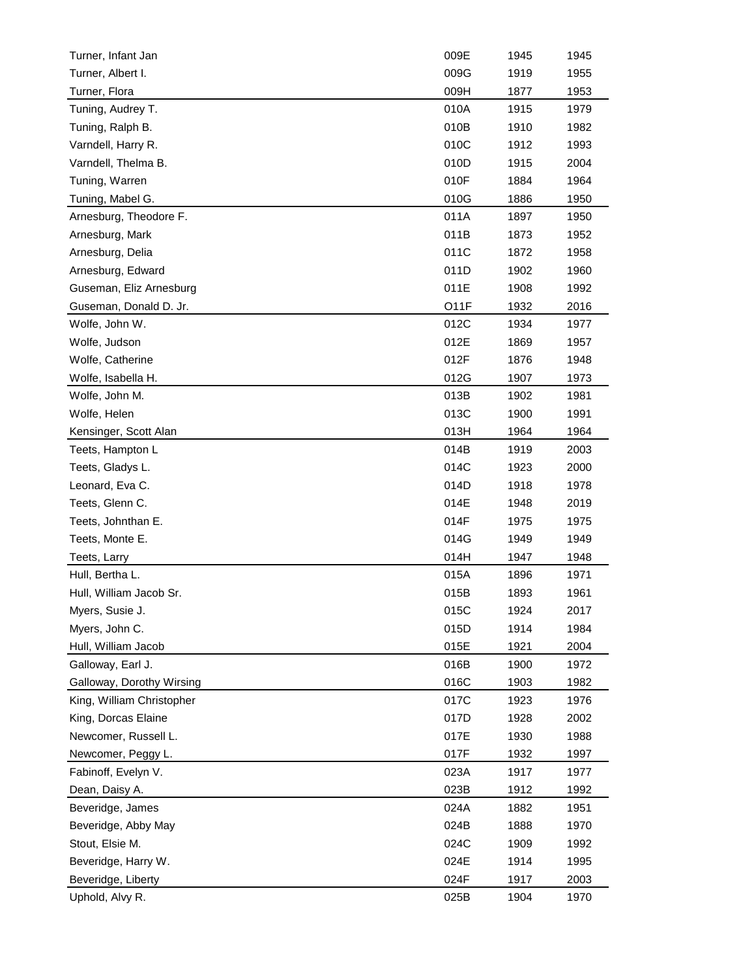| Turner, Infant Jan        | 009E              | 1945 | 1945 |
|---------------------------|-------------------|------|------|
| Turner, Albert I.         | 009G              | 1919 | 1955 |
| Turner, Flora             | 009H              | 1877 | 1953 |
| Tuning, Audrey T.         | 010A              | 1915 | 1979 |
| Tuning, Ralph B.          | 010B              | 1910 | 1982 |
| Varndell, Harry R.        | 010C              | 1912 | 1993 |
| Varndell, Thelma B.       | 010D              | 1915 | 2004 |
| Tuning, Warren            | 010F              | 1884 | 1964 |
| Tuning, Mabel G.          | 010G              | 1886 | 1950 |
| Arnesburg, Theodore F.    | 011A              | 1897 | 1950 |
| Arnesburg, Mark           | 011B              | 1873 | 1952 |
| Arnesburg, Delia          | 011C              | 1872 | 1958 |
| Arnesburg, Edward         | 011D              | 1902 | 1960 |
| Guseman, Eliz Arnesburg   | 011E              | 1908 | 1992 |
| Guseman, Donald D. Jr.    | O <sub>1</sub> 1F | 1932 | 2016 |
| Wolfe, John W.            | 012C              | 1934 | 1977 |
| Wolfe, Judson             | 012E              | 1869 | 1957 |
| Wolfe, Catherine          | 012F              | 1876 | 1948 |
| Wolfe, Isabella H.        | 012G              | 1907 | 1973 |
| Wolfe, John M.            | 013B              | 1902 | 1981 |
| Wolfe, Helen              | 013C              | 1900 | 1991 |
| Kensinger, Scott Alan     | 013H              | 1964 | 1964 |
| Teets, Hampton L          | 014B              | 1919 | 2003 |
| Teets, Gladys L.          | 014C              | 1923 | 2000 |
| Leonard, Eva C.           | 014D              | 1918 | 1978 |
| Teets, Glenn C.           | 014E              | 1948 | 2019 |
| Teets, Johnthan E.        | 014F              | 1975 | 1975 |
| Teets, Monte E.           | 014G              | 1949 | 1949 |
| Teets, Larry              | 014H              | 1947 | 1948 |
| Hull, Bertha L.           | 015A              | 1896 | 1971 |
| Hull, William Jacob Sr.   | 015B              | 1893 | 1961 |
| Myers, Susie J.           | 015C              | 1924 | 2017 |
| Myers, John C.            | 015D              | 1914 | 1984 |
| Hull, William Jacob       | 015E              | 1921 | 2004 |
| Galloway, Earl J.         | 016B              | 1900 | 1972 |
| Galloway, Dorothy Wirsing | 016C              | 1903 | 1982 |
| King, William Christopher | 017C              | 1923 | 1976 |
| King, Dorcas Elaine       | 017D              | 1928 | 2002 |
| Newcomer, Russell L.      | 017E              | 1930 | 1988 |
| Newcomer, Peggy L.        | 017F              | 1932 | 1997 |
| Fabinoff, Evelyn V.       | 023A              | 1917 | 1977 |
| Dean, Daisy A.            | 023B              | 1912 | 1992 |
| Beveridge, James          | 024A              | 1882 | 1951 |
|                           |                   |      |      |
| Beveridge, Abby May       | 024B<br>024C      | 1888 | 1970 |
| Stout, Elsie M.           |                   | 1909 | 1992 |
| Beveridge, Harry W.       | 024E              | 1914 | 1995 |
| Beveridge, Liberty        | 024F              | 1917 | 2003 |
| Uphold, Alvy R.           | 025B              | 1904 | 1970 |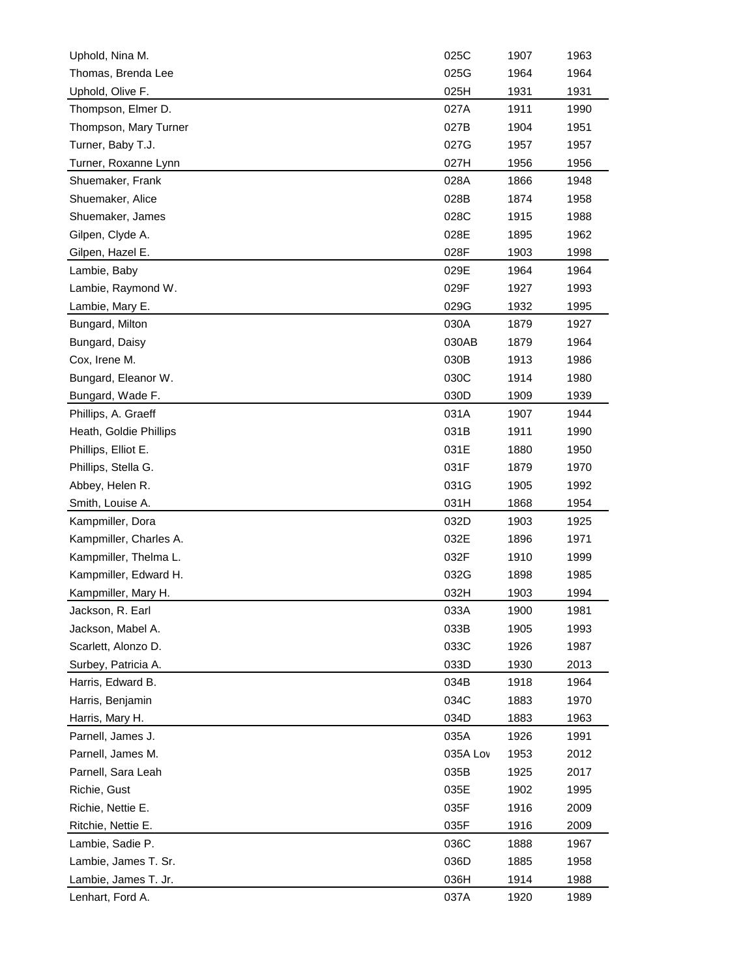| Uphold, Nina M.        | 025C     | 1907 | 1963 |
|------------------------|----------|------|------|
| Thomas, Brenda Lee     | 025G     | 1964 | 1964 |
| Uphold, Olive F.       | 025H     | 1931 | 1931 |
| Thompson, Elmer D.     | 027A     | 1911 | 1990 |
| Thompson, Mary Turner  | 027B     | 1904 | 1951 |
| Turner, Baby T.J.      | 027G     | 1957 | 1957 |
| Turner, Roxanne Lynn   | 027H     | 1956 | 1956 |
| Shuemaker, Frank       | 028A     | 1866 | 1948 |
| Shuemaker, Alice       | 028B     | 1874 | 1958 |
| Shuemaker, James       | 028C     | 1915 | 1988 |
| Gilpen, Clyde A.       | 028E     | 1895 | 1962 |
| Gilpen, Hazel E.       | 028F     | 1903 | 1998 |
| Lambie, Baby           | 029E     | 1964 | 1964 |
| Lambie, Raymond W.     | 029F     | 1927 | 1993 |
| Lambie, Mary E.        | 029G     | 1932 | 1995 |
| Bungard, Milton        | 030A     | 1879 | 1927 |
| Bungard, Daisy         | 030AB    | 1879 | 1964 |
| Cox, Irene M.          | 030B     | 1913 | 1986 |
| Bungard, Eleanor W.    | 030C     | 1914 | 1980 |
| Bungard, Wade F.       | 030D     | 1909 | 1939 |
| Phillips, A. Graeff    | 031A     | 1907 | 1944 |
| Heath, Goldie Phillips | 031B     | 1911 | 1990 |
| Phillips, Elliot E.    | 031E     | 1880 | 1950 |
| Phillips, Stella G.    | 031F     | 1879 | 1970 |
| Abbey, Helen R.        | 031G     | 1905 | 1992 |
| Smith, Louise A.       | 031H     | 1868 |      |
|                        | 032D     |      | 1954 |
| Kampmiller, Dora       |          | 1903 | 1925 |
| Kampmiller, Charles A. | 032E     | 1896 | 1971 |
| Kampmiller, Thelma L.  | 032F     | 1910 | 1999 |
| Kampmiller, Edward H.  | 032G     | 1898 | 1985 |
| Kampmiller, Mary H.    | 032H     | 1903 | 1994 |
| Jackson, R. Earl       | 033A     | 1900 | 1981 |
| Jackson, Mabel A.      | 033B     | 1905 | 1993 |
| Scarlett, Alonzo D.    | 033C     | 1926 | 1987 |
| Surbey, Patricia A.    | 033D     | 1930 | 2013 |
| Harris, Edward B.      | 034B     | 1918 | 1964 |
| Harris, Benjamin       | 034C     | 1883 | 1970 |
| Harris, Mary H.        | 034D     | 1883 | 1963 |
| Parnell, James J.      | 035A     | 1926 | 1991 |
| Parnell, James M.      | 035A Lov | 1953 | 2012 |
| Parnell, Sara Leah     | 035B     | 1925 | 2017 |
| Richie, Gust           | 035E     | 1902 | 1995 |
| Richie, Nettie E.      | 035F     | 1916 | 2009 |
| Ritchie, Nettie E.     | 035F     | 1916 | 2009 |
| Lambie, Sadie P.       | 036C     | 1888 | 1967 |
| Lambie, James T. Sr.   | 036D     | 1885 | 1958 |
| Lambie, James T. Jr.   | 036H     | 1914 | 1988 |
| Lenhart, Ford A.       | 037A     | 1920 | 1989 |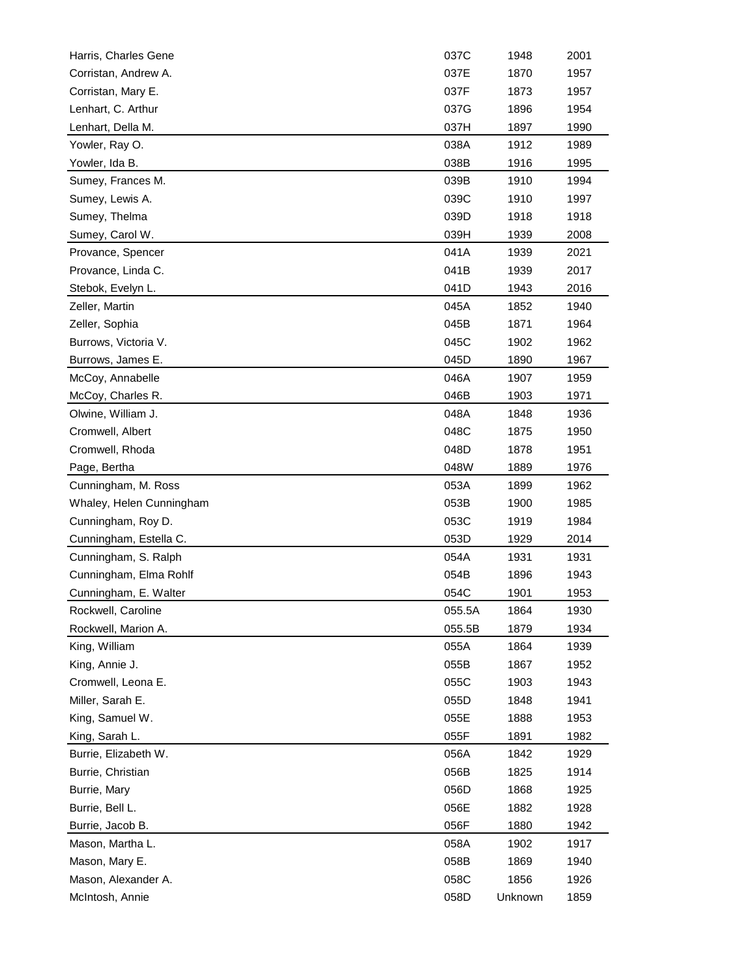| Harris, Charles Gene     | 037C   | 1948    | 2001 |
|--------------------------|--------|---------|------|
| Corristan, Andrew A.     | 037E   | 1870    | 1957 |
| Corristan, Mary E.       | 037F   | 1873    | 1957 |
| Lenhart, C. Arthur       | 037G   | 1896    | 1954 |
| Lenhart, Della M.        | 037H   | 1897    | 1990 |
| Yowler, Ray O.           | 038A   | 1912    | 1989 |
| Yowler, Ida B.           | 038B   | 1916    | 1995 |
| Sumey, Frances M.        | 039B   | 1910    | 1994 |
| Sumey, Lewis A.          | 039C   | 1910    | 1997 |
| Sumey, Thelma            | 039D   | 1918    | 1918 |
| Sumey, Carol W.          | 039H   | 1939    | 2008 |
| Provance, Spencer        | 041A   | 1939    | 2021 |
| Provance, Linda C.       | 041B   | 1939    | 2017 |
| Stebok, Evelyn L.        | 041D   | 1943    | 2016 |
| Zeller, Martin           | 045A   | 1852    | 1940 |
| Zeller, Sophia           | 045B   | 1871    | 1964 |
| Burrows, Victoria V.     | 045C   | 1902    | 1962 |
| Burrows, James E.        | 045D   | 1890    | 1967 |
| McCoy, Annabelle         | 046A   | 1907    | 1959 |
| McCoy, Charles R.        | 046B   | 1903    | 1971 |
| Olwine, William J.       | 048A   | 1848    | 1936 |
| Cromwell, Albert         | 048C   | 1875    | 1950 |
| Cromwell, Rhoda          | 048D   | 1878    | 1951 |
| Page, Bertha             | 048W   | 1889    | 1976 |
| Cunningham, M. Ross      | 053A   | 1899    | 1962 |
| Whaley, Helen Cunningham | 053B   | 1900    | 1985 |
| Cunningham, Roy D.       | 053C   | 1919    | 1984 |
| Cunningham, Estella C.   | 053D   | 1929    | 2014 |
| Cunningham, S. Ralph     | 054A   | 1931    | 1931 |
| Cunningham, Elma Rohlf   | 054B   | 1896    | 1943 |
| Cunningham, E. Walter    | 054C   | 1901    | 1953 |
| Rockwell, Caroline       | 055.5A | 1864    | 1930 |
| Rockwell, Marion A.      | 055.5B | 1879    | 1934 |
| King, William            | 055A   | 1864    | 1939 |
| King, Annie J.           | 055B   | 1867    | 1952 |
| Cromwell, Leona E.       | 055C   | 1903    | 1943 |
| Miller, Sarah E.         | 055D   | 1848    | 1941 |
| King, Samuel W.          | 055E   | 1888    | 1953 |
| King, Sarah L.           | 055F   | 1891    | 1982 |
| Burrie, Elizabeth W.     | 056A   | 1842    | 1929 |
| Burrie, Christian        | 056B   | 1825    | 1914 |
| Burrie, Mary             | 056D   | 1868    | 1925 |
| Burrie, Bell L.          | 056E   | 1882    | 1928 |
| Burrie, Jacob B.         | 056F   | 1880    | 1942 |
| Mason, Martha L.         | 058A   | 1902    | 1917 |
| Mason, Mary E.           | 058B   | 1869    | 1940 |
| Mason, Alexander A.      | 058C   | 1856    | 1926 |
| McIntosh, Annie          | 058D   | Unknown | 1859 |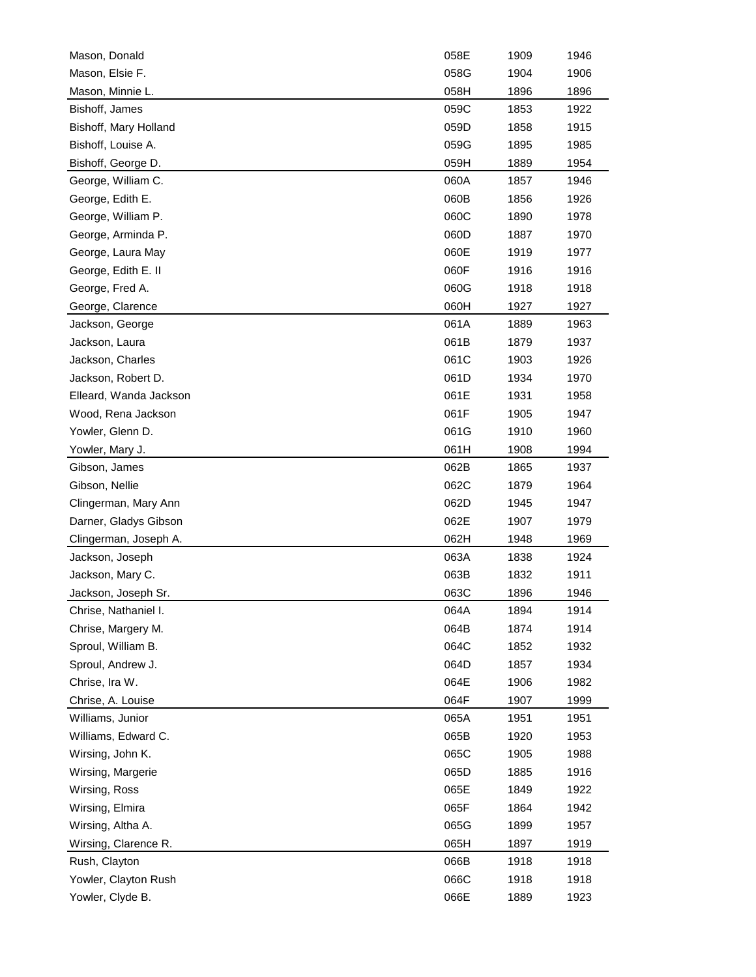| Mason, Donald                       | 058E         | 1909 | 1946 |
|-------------------------------------|--------------|------|------|
| Mason, Elsie F.                     | 058G         | 1904 | 1906 |
| Mason, Minnie L.                    | 058H         | 1896 | 1896 |
| Bishoff, James                      | 059C         | 1853 | 1922 |
| Bishoff, Mary Holland               | 059D         | 1858 | 1915 |
| Bishoff, Louise A.                  | 059G         | 1895 | 1985 |
| Bishoff, George D.                  | 059H         | 1889 | 1954 |
| George, William C.                  | 060A         | 1857 | 1946 |
| George, Edith E.                    | 060B         | 1856 | 1926 |
| George, William P.                  | 060C         | 1890 | 1978 |
| George, Arminda P.                  | 060D         | 1887 | 1970 |
| George, Laura May                   | 060E         | 1919 | 1977 |
| George, Edith E. II                 | 060F         | 1916 | 1916 |
| George, Fred A.                     | 060G         | 1918 | 1918 |
| George, Clarence                    | 060H         | 1927 | 1927 |
| Jackson, George                     | 061A         | 1889 | 1963 |
| Jackson, Laura                      | 061B         | 1879 | 1937 |
| Jackson, Charles                    | 061C         | 1903 | 1926 |
| Jackson, Robert D.                  | 061D         | 1934 | 1970 |
| Elleard, Wanda Jackson              | 061E         | 1931 | 1958 |
| Wood, Rena Jackson                  | 061F         | 1905 | 1947 |
| Yowler, Glenn D.                    | 061G         | 1910 | 1960 |
| Yowler, Mary J.                     | 061H         | 1908 | 1994 |
| Gibson, James                       | 062B         | 1865 | 1937 |
| Gibson, Nellie                      | 062C         | 1879 | 1964 |
| Clingerman, Mary Ann                | 062D         | 1945 | 1947 |
| Darner, Gladys Gibson               | 062E         | 1907 | 1979 |
| Clingerman, Joseph A.               | 062H         | 1948 | 1969 |
| Jackson, Joseph                     | 063A         | 1838 | 1924 |
| Jackson, Mary C.                    | 063B         | 1832 | 1911 |
| Jackson, Joseph Sr.                 | 063C         | 1896 | 1946 |
| Chrise, Nathaniel I.                | 064A         | 1894 | 1914 |
| Chrise, Margery M.                  | 064B         | 1874 | 1914 |
| Sproul, William B.                  | 064C         | 1852 | 1932 |
| Sproul, Andrew J.                   |              |      |      |
|                                     | 064D         | 1857 | 1934 |
| Chrise, Ira W.<br>Chrise, A. Louise | 064E<br>064F | 1906 | 1982 |
|                                     |              | 1907 | 1999 |
| Williams, Junior                    | 065A         | 1951 | 1951 |
| Williams, Edward C.                 | 065B         | 1920 | 1953 |
| Wirsing, John K.                    | 065C         | 1905 | 1988 |
| Wirsing, Margerie                   | 065D         | 1885 | 1916 |
| Wirsing, Ross                       | 065E         | 1849 | 1922 |
| Wirsing, Elmira                     | 065F         | 1864 | 1942 |
| Wirsing, Altha A.                   | 065G         | 1899 | 1957 |
| Wirsing, Clarence R.                | 065H         | 1897 | 1919 |
| Rush, Clayton                       | 066B         | 1918 | 1918 |
| Yowler, Clayton Rush                | 066C         | 1918 | 1918 |
| Yowler, Clyde B.                    | 066E         | 1889 | 1923 |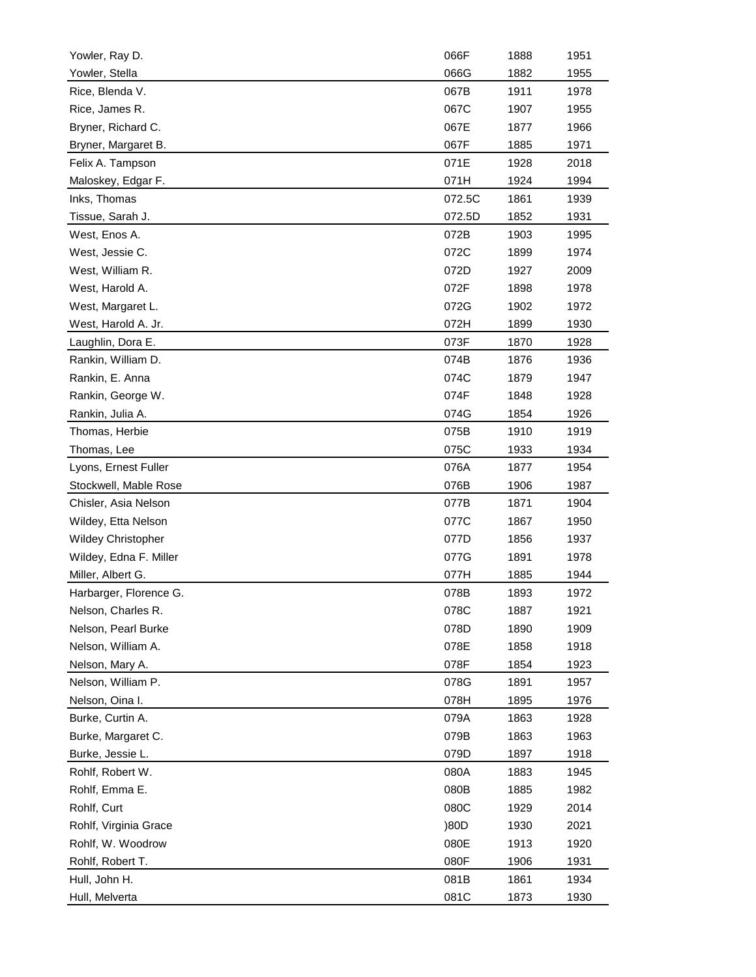| 066G<br>1882<br>Yowler, Stella<br>1955<br>Rice, Blenda V.<br>067B<br>1911<br>1978<br>Rice, James R.<br>067C<br>1907<br>1955<br>067E<br>Bryner, Richard C.<br>1877<br>1966<br>067F<br>Bryner, Margaret B.<br>1885<br>1971<br>071E<br>Felix A. Tampson<br>1928<br>2018<br>071H<br>Maloskey, Edgar F.<br>1924<br>1994<br>072.5C<br>Inks, Thomas<br>1861<br>1939<br>Tissue, Sarah J.<br>072.5D<br>1852<br>1931<br>West, Enos A.<br>072B<br>1995<br>1903<br>West, Jessie C.<br>072C<br>1899<br>1974<br>West, William R.<br>072D<br>1927<br>2009<br>072F<br>West, Harold A.<br>1898<br>1978<br>072G<br>1902<br>1972<br>West, Margaret L.<br>West, Harold A. Jr.<br>072H<br>1930<br>1899<br>Laughlin, Dora E.<br>073F<br>1870<br>1928<br>Rankin, William D.<br>1876<br>074B<br>1936<br>Rankin, E. Anna<br>074C<br>1879<br>1947<br>Rankin, George W.<br>074F<br>1848<br>1928<br>Rankin, Julia A.<br>074G<br>1854<br>1926<br>Thomas, Herbie<br>1910<br>075B<br>1919<br>075C<br>Thomas, Lee<br>1933<br>1934<br>Lyons, Ernest Fuller<br>076A<br>1877<br>1954<br>076B<br>Stockwell, Mable Rose<br>1906<br>1987<br>Chisler, Asia Nelson<br>077B<br>1871<br>1904<br>077C<br>Wildey, Etta Nelson<br>1867<br>1950<br><b>Wildey Christopher</b><br>077D<br>1856<br>1937<br>077G<br>Wildey, Edna F. Miller<br>1891<br>1978<br>Miller, Albert G.<br>077H<br>1885<br>1944<br>Harbarger, Florence G.<br>078B<br>1972<br>1893<br>Nelson, Charles R.<br>078C<br>1921<br>1887<br>Nelson, Pearl Burke<br>078D<br>1890<br>1909<br>Nelson, William A.<br>078E<br>1858<br>1918<br>Nelson, Mary A.<br>078F<br>1854<br>1923<br>Nelson, William P.<br>078G<br>1891<br>1957<br>Nelson, Oina I.<br>078H<br>1895<br>1976<br>Burke, Curtin A.<br>079A<br>1863<br>1928<br>Burke, Margaret C.<br>079B<br>1863<br>1963<br>079D<br>Burke, Jessie L.<br>1897<br>1918<br>Rohlf, Robert W.<br>080A<br>1883<br>1945<br>Rohlf, Emma E.<br>080B<br>1885<br>1982<br>Rohlf, Curt<br>080C<br>1929<br>2014<br>)80D<br>Rohlf, Virginia Grace<br>1930<br>2021<br>080E<br>Rohlf, W. Woodrow<br>1913<br>1920<br>080F<br>Rohlf, Robert T.<br>1906<br>1931<br>Hull, John H.<br>081B<br>1861<br>1934<br>Hull, Melverta<br>081C<br>1873<br>1930 | Yowler, Ray D. | 066F | 1888 | 1951 |
|----------------------------------------------------------------------------------------------------------------------------------------------------------------------------------------------------------------------------------------------------------------------------------------------------------------------------------------------------------------------------------------------------------------------------------------------------------------------------------------------------------------------------------------------------------------------------------------------------------------------------------------------------------------------------------------------------------------------------------------------------------------------------------------------------------------------------------------------------------------------------------------------------------------------------------------------------------------------------------------------------------------------------------------------------------------------------------------------------------------------------------------------------------------------------------------------------------------------------------------------------------------------------------------------------------------------------------------------------------------------------------------------------------------------------------------------------------------------------------------------------------------------------------------------------------------------------------------------------------------------------------------------------------------------------------------------------------------------------------------------------------------------------------------------------------------------------------------------------------------------------------------------------------------------------------------------------------------------------------------------------------------------------------------------------------------------------------------------------------------------------------------------------------------------------------------|----------------|------|------|------|
|                                                                                                                                                                                                                                                                                                                                                                                                                                                                                                                                                                                                                                                                                                                                                                                                                                                                                                                                                                                                                                                                                                                                                                                                                                                                                                                                                                                                                                                                                                                                                                                                                                                                                                                                                                                                                                                                                                                                                                                                                                                                                                                                                                                        |                |      |      |      |
|                                                                                                                                                                                                                                                                                                                                                                                                                                                                                                                                                                                                                                                                                                                                                                                                                                                                                                                                                                                                                                                                                                                                                                                                                                                                                                                                                                                                                                                                                                                                                                                                                                                                                                                                                                                                                                                                                                                                                                                                                                                                                                                                                                                        |                |      |      |      |
|                                                                                                                                                                                                                                                                                                                                                                                                                                                                                                                                                                                                                                                                                                                                                                                                                                                                                                                                                                                                                                                                                                                                                                                                                                                                                                                                                                                                                                                                                                                                                                                                                                                                                                                                                                                                                                                                                                                                                                                                                                                                                                                                                                                        |                |      |      |      |
|                                                                                                                                                                                                                                                                                                                                                                                                                                                                                                                                                                                                                                                                                                                                                                                                                                                                                                                                                                                                                                                                                                                                                                                                                                                                                                                                                                                                                                                                                                                                                                                                                                                                                                                                                                                                                                                                                                                                                                                                                                                                                                                                                                                        |                |      |      |      |
|                                                                                                                                                                                                                                                                                                                                                                                                                                                                                                                                                                                                                                                                                                                                                                                                                                                                                                                                                                                                                                                                                                                                                                                                                                                                                                                                                                                                                                                                                                                                                                                                                                                                                                                                                                                                                                                                                                                                                                                                                                                                                                                                                                                        |                |      |      |      |
|                                                                                                                                                                                                                                                                                                                                                                                                                                                                                                                                                                                                                                                                                                                                                                                                                                                                                                                                                                                                                                                                                                                                                                                                                                                                                                                                                                                                                                                                                                                                                                                                                                                                                                                                                                                                                                                                                                                                                                                                                                                                                                                                                                                        |                |      |      |      |
|                                                                                                                                                                                                                                                                                                                                                                                                                                                                                                                                                                                                                                                                                                                                                                                                                                                                                                                                                                                                                                                                                                                                                                                                                                                                                                                                                                                                                                                                                                                                                                                                                                                                                                                                                                                                                                                                                                                                                                                                                                                                                                                                                                                        |                |      |      |      |
|                                                                                                                                                                                                                                                                                                                                                                                                                                                                                                                                                                                                                                                                                                                                                                                                                                                                                                                                                                                                                                                                                                                                                                                                                                                                                                                                                                                                                                                                                                                                                                                                                                                                                                                                                                                                                                                                                                                                                                                                                                                                                                                                                                                        |                |      |      |      |
|                                                                                                                                                                                                                                                                                                                                                                                                                                                                                                                                                                                                                                                                                                                                                                                                                                                                                                                                                                                                                                                                                                                                                                                                                                                                                                                                                                                                                                                                                                                                                                                                                                                                                                                                                                                                                                                                                                                                                                                                                                                                                                                                                                                        |                |      |      |      |
|                                                                                                                                                                                                                                                                                                                                                                                                                                                                                                                                                                                                                                                                                                                                                                                                                                                                                                                                                                                                                                                                                                                                                                                                                                                                                                                                                                                                                                                                                                                                                                                                                                                                                                                                                                                                                                                                                                                                                                                                                                                                                                                                                                                        |                |      |      |      |
|                                                                                                                                                                                                                                                                                                                                                                                                                                                                                                                                                                                                                                                                                                                                                                                                                                                                                                                                                                                                                                                                                                                                                                                                                                                                                                                                                                                                                                                                                                                                                                                                                                                                                                                                                                                                                                                                                                                                                                                                                                                                                                                                                                                        |                |      |      |      |
|                                                                                                                                                                                                                                                                                                                                                                                                                                                                                                                                                                                                                                                                                                                                                                                                                                                                                                                                                                                                                                                                                                                                                                                                                                                                                                                                                                                                                                                                                                                                                                                                                                                                                                                                                                                                                                                                                                                                                                                                                                                                                                                                                                                        |                |      |      |      |
|                                                                                                                                                                                                                                                                                                                                                                                                                                                                                                                                                                                                                                                                                                                                                                                                                                                                                                                                                                                                                                                                                                                                                                                                                                                                                                                                                                                                                                                                                                                                                                                                                                                                                                                                                                                                                                                                                                                                                                                                                                                                                                                                                                                        |                |      |      |      |
|                                                                                                                                                                                                                                                                                                                                                                                                                                                                                                                                                                                                                                                                                                                                                                                                                                                                                                                                                                                                                                                                                                                                                                                                                                                                                                                                                                                                                                                                                                                                                                                                                                                                                                                                                                                                                                                                                                                                                                                                                                                                                                                                                                                        |                |      |      |      |
|                                                                                                                                                                                                                                                                                                                                                                                                                                                                                                                                                                                                                                                                                                                                                                                                                                                                                                                                                                                                                                                                                                                                                                                                                                                                                                                                                                                                                                                                                                                                                                                                                                                                                                                                                                                                                                                                                                                                                                                                                                                                                                                                                                                        |                |      |      |      |
|                                                                                                                                                                                                                                                                                                                                                                                                                                                                                                                                                                                                                                                                                                                                                                                                                                                                                                                                                                                                                                                                                                                                                                                                                                                                                                                                                                                                                                                                                                                                                                                                                                                                                                                                                                                                                                                                                                                                                                                                                                                                                                                                                                                        |                |      |      |      |
|                                                                                                                                                                                                                                                                                                                                                                                                                                                                                                                                                                                                                                                                                                                                                                                                                                                                                                                                                                                                                                                                                                                                                                                                                                                                                                                                                                                                                                                                                                                                                                                                                                                                                                                                                                                                                                                                                                                                                                                                                                                                                                                                                                                        |                |      |      |      |
|                                                                                                                                                                                                                                                                                                                                                                                                                                                                                                                                                                                                                                                                                                                                                                                                                                                                                                                                                                                                                                                                                                                                                                                                                                                                                                                                                                                                                                                                                                                                                                                                                                                                                                                                                                                                                                                                                                                                                                                                                                                                                                                                                                                        |                |      |      |      |
|                                                                                                                                                                                                                                                                                                                                                                                                                                                                                                                                                                                                                                                                                                                                                                                                                                                                                                                                                                                                                                                                                                                                                                                                                                                                                                                                                                                                                                                                                                                                                                                                                                                                                                                                                                                                                                                                                                                                                                                                                                                                                                                                                                                        |                |      |      |      |
|                                                                                                                                                                                                                                                                                                                                                                                                                                                                                                                                                                                                                                                                                                                                                                                                                                                                                                                                                                                                                                                                                                                                                                                                                                                                                                                                                                                                                                                                                                                                                                                                                                                                                                                                                                                                                                                                                                                                                                                                                                                                                                                                                                                        |                |      |      |      |
|                                                                                                                                                                                                                                                                                                                                                                                                                                                                                                                                                                                                                                                                                                                                                                                                                                                                                                                                                                                                                                                                                                                                                                                                                                                                                                                                                                                                                                                                                                                                                                                                                                                                                                                                                                                                                                                                                                                                                                                                                                                                                                                                                                                        |                |      |      |      |
|                                                                                                                                                                                                                                                                                                                                                                                                                                                                                                                                                                                                                                                                                                                                                                                                                                                                                                                                                                                                                                                                                                                                                                                                                                                                                                                                                                                                                                                                                                                                                                                                                                                                                                                                                                                                                                                                                                                                                                                                                                                                                                                                                                                        |                |      |      |      |
|                                                                                                                                                                                                                                                                                                                                                                                                                                                                                                                                                                                                                                                                                                                                                                                                                                                                                                                                                                                                                                                                                                                                                                                                                                                                                                                                                                                                                                                                                                                                                                                                                                                                                                                                                                                                                                                                                                                                                                                                                                                                                                                                                                                        |                |      |      |      |
|                                                                                                                                                                                                                                                                                                                                                                                                                                                                                                                                                                                                                                                                                                                                                                                                                                                                                                                                                                                                                                                                                                                                                                                                                                                                                                                                                                                                                                                                                                                                                                                                                                                                                                                                                                                                                                                                                                                                                                                                                                                                                                                                                                                        |                |      |      |      |
|                                                                                                                                                                                                                                                                                                                                                                                                                                                                                                                                                                                                                                                                                                                                                                                                                                                                                                                                                                                                                                                                                                                                                                                                                                                                                                                                                                                                                                                                                                                                                                                                                                                                                                                                                                                                                                                                                                                                                                                                                                                                                                                                                                                        |                |      |      |      |
|                                                                                                                                                                                                                                                                                                                                                                                                                                                                                                                                                                                                                                                                                                                                                                                                                                                                                                                                                                                                                                                                                                                                                                                                                                                                                                                                                                                                                                                                                                                                                                                                                                                                                                                                                                                                                                                                                                                                                                                                                                                                                                                                                                                        |                |      |      |      |
|                                                                                                                                                                                                                                                                                                                                                                                                                                                                                                                                                                                                                                                                                                                                                                                                                                                                                                                                                                                                                                                                                                                                                                                                                                                                                                                                                                                                                                                                                                                                                                                                                                                                                                                                                                                                                                                                                                                                                                                                                                                                                                                                                                                        |                |      |      |      |
|                                                                                                                                                                                                                                                                                                                                                                                                                                                                                                                                                                                                                                                                                                                                                                                                                                                                                                                                                                                                                                                                                                                                                                                                                                                                                                                                                                                                                                                                                                                                                                                                                                                                                                                                                                                                                                                                                                                                                                                                                                                                                                                                                                                        |                |      |      |      |
|                                                                                                                                                                                                                                                                                                                                                                                                                                                                                                                                                                                                                                                                                                                                                                                                                                                                                                                                                                                                                                                                                                                                                                                                                                                                                                                                                                                                                                                                                                                                                                                                                                                                                                                                                                                                                                                                                                                                                                                                                                                                                                                                                                                        |                |      |      |      |
|                                                                                                                                                                                                                                                                                                                                                                                                                                                                                                                                                                                                                                                                                                                                                                                                                                                                                                                                                                                                                                                                                                                                                                                                                                                                                                                                                                                                                                                                                                                                                                                                                                                                                                                                                                                                                                                                                                                                                                                                                                                                                                                                                                                        |                |      |      |      |
|                                                                                                                                                                                                                                                                                                                                                                                                                                                                                                                                                                                                                                                                                                                                                                                                                                                                                                                                                                                                                                                                                                                                                                                                                                                                                                                                                                                                                                                                                                                                                                                                                                                                                                                                                                                                                                                                                                                                                                                                                                                                                                                                                                                        |                |      |      |      |
|                                                                                                                                                                                                                                                                                                                                                                                                                                                                                                                                                                                                                                                                                                                                                                                                                                                                                                                                                                                                                                                                                                                                                                                                                                                                                                                                                                                                                                                                                                                                                                                                                                                                                                                                                                                                                                                                                                                                                                                                                                                                                                                                                                                        |                |      |      |      |
|                                                                                                                                                                                                                                                                                                                                                                                                                                                                                                                                                                                                                                                                                                                                                                                                                                                                                                                                                                                                                                                                                                                                                                                                                                                                                                                                                                                                                                                                                                                                                                                                                                                                                                                                                                                                                                                                                                                                                                                                                                                                                                                                                                                        |                |      |      |      |
|                                                                                                                                                                                                                                                                                                                                                                                                                                                                                                                                                                                                                                                                                                                                                                                                                                                                                                                                                                                                                                                                                                                                                                                                                                                                                                                                                                                                                                                                                                                                                                                                                                                                                                                                                                                                                                                                                                                                                                                                                                                                                                                                                                                        |                |      |      |      |
|                                                                                                                                                                                                                                                                                                                                                                                                                                                                                                                                                                                                                                                                                                                                                                                                                                                                                                                                                                                                                                                                                                                                                                                                                                                                                                                                                                                                                                                                                                                                                                                                                                                                                                                                                                                                                                                                                                                                                                                                                                                                                                                                                                                        |                |      |      |      |
|                                                                                                                                                                                                                                                                                                                                                                                                                                                                                                                                                                                                                                                                                                                                                                                                                                                                                                                                                                                                                                                                                                                                                                                                                                                                                                                                                                                                                                                                                                                                                                                                                                                                                                                                                                                                                                                                                                                                                                                                                                                                                                                                                                                        |                |      |      |      |
|                                                                                                                                                                                                                                                                                                                                                                                                                                                                                                                                                                                                                                                                                                                                                                                                                                                                                                                                                                                                                                                                                                                                                                                                                                                                                                                                                                                                                                                                                                                                                                                                                                                                                                                                                                                                                                                                                                                                                                                                                                                                                                                                                                                        |                |      |      |      |
|                                                                                                                                                                                                                                                                                                                                                                                                                                                                                                                                                                                                                                                                                                                                                                                                                                                                                                                                                                                                                                                                                                                                                                                                                                                                                                                                                                                                                                                                                                                                                                                                                                                                                                                                                                                                                                                                                                                                                                                                                                                                                                                                                                                        |                |      |      |      |
|                                                                                                                                                                                                                                                                                                                                                                                                                                                                                                                                                                                                                                                                                                                                                                                                                                                                                                                                                                                                                                                                                                                                                                                                                                                                                                                                                                                                                                                                                                                                                                                                                                                                                                                                                                                                                                                                                                                                                                                                                                                                                                                                                                                        |                |      |      |      |
|                                                                                                                                                                                                                                                                                                                                                                                                                                                                                                                                                                                                                                                                                                                                                                                                                                                                                                                                                                                                                                                                                                                                                                                                                                                                                                                                                                                                                                                                                                                                                                                                                                                                                                                                                                                                                                                                                                                                                                                                                                                                                                                                                                                        |                |      |      |      |
|                                                                                                                                                                                                                                                                                                                                                                                                                                                                                                                                                                                                                                                                                                                                                                                                                                                                                                                                                                                                                                                                                                                                                                                                                                                                                                                                                                                                                                                                                                                                                                                                                                                                                                                                                                                                                                                                                                                                                                                                                                                                                                                                                                                        |                |      |      |      |
|                                                                                                                                                                                                                                                                                                                                                                                                                                                                                                                                                                                                                                                                                                                                                                                                                                                                                                                                                                                                                                                                                                                                                                                                                                                                                                                                                                                                                                                                                                                                                                                                                                                                                                                                                                                                                                                                                                                                                                                                                                                                                                                                                                                        |                |      |      |      |
|                                                                                                                                                                                                                                                                                                                                                                                                                                                                                                                                                                                                                                                                                                                                                                                                                                                                                                                                                                                                                                                                                                                                                                                                                                                                                                                                                                                                                                                                                                                                                                                                                                                                                                                                                                                                                                                                                                                                                                                                                                                                                                                                                                                        |                |      |      |      |
|                                                                                                                                                                                                                                                                                                                                                                                                                                                                                                                                                                                                                                                                                                                                                                                                                                                                                                                                                                                                                                                                                                                                                                                                                                                                                                                                                                                                                                                                                                                                                                                                                                                                                                                                                                                                                                                                                                                                                                                                                                                                                                                                                                                        |                |      |      |      |
|                                                                                                                                                                                                                                                                                                                                                                                                                                                                                                                                                                                                                                                                                                                                                                                                                                                                                                                                                                                                                                                                                                                                                                                                                                                                                                                                                                                                                                                                                                                                                                                                                                                                                                                                                                                                                                                                                                                                                                                                                                                                                                                                                                                        |                |      |      |      |
|                                                                                                                                                                                                                                                                                                                                                                                                                                                                                                                                                                                                                                                                                                                                                                                                                                                                                                                                                                                                                                                                                                                                                                                                                                                                                                                                                                                                                                                                                                                                                                                                                                                                                                                                                                                                                                                                                                                                                                                                                                                                                                                                                                                        |                |      |      |      |
|                                                                                                                                                                                                                                                                                                                                                                                                                                                                                                                                                                                                                                                                                                                                                                                                                                                                                                                                                                                                                                                                                                                                                                                                                                                                                                                                                                                                                                                                                                                                                                                                                                                                                                                                                                                                                                                                                                                                                                                                                                                                                                                                                                                        |                |      |      |      |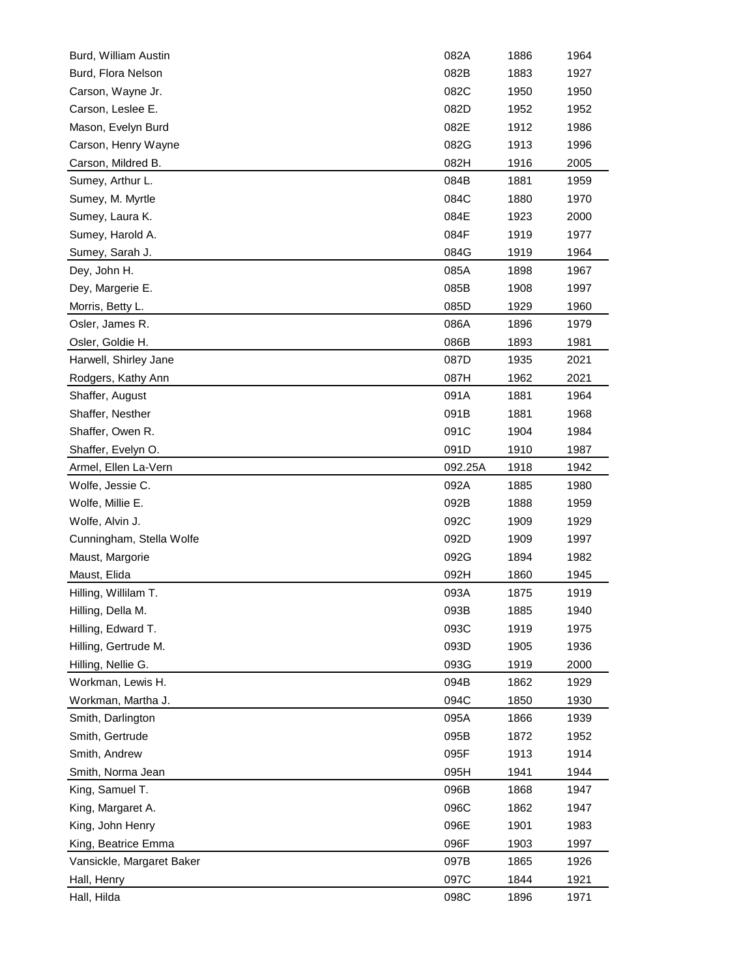| Burd, William Austin       | 082A         | 1886         | 1964         |
|----------------------------|--------------|--------------|--------------|
| Burd, Flora Nelson         | 082B         | 1883         | 1927         |
| Carson, Wayne Jr.          | 082C         | 1950         | 1950         |
| Carson, Leslee E.          | 082D         | 1952         | 1952         |
| Mason, Evelyn Burd         | 082E         | 1912         | 1986         |
| Carson, Henry Wayne        | 082G         | 1913         | 1996         |
| Carson, Mildred B.         | 082H         | 1916         | 2005         |
| Sumey, Arthur L.           | 084B         | 1881         | 1959         |
| Sumey, M. Myrtle           | 084C         | 1880         | 1970         |
| Sumey, Laura K.            | 084E         | 1923         | 2000         |
| Sumey, Harold A.           | 084F         | 1919         | 1977         |
| Sumey, Sarah J.            | 084G         | 1919         | 1964         |
| Dey, John H.               | 085A         | 1898         | 1967         |
| Dey, Margerie E.           | 085B         | 1908         | 1997         |
| Morris, Betty L.           | 085D         | 1929         | 1960         |
| Osler, James R.            | 086A         | 1896         | 1979         |
| Osler, Goldie H.           | 086B         | 1893         | 1981         |
| Harwell, Shirley Jane      | 087D         | 1935         | 2021         |
| Rodgers, Kathy Ann         | 087H         | 1962         | 2021         |
| Shaffer, August            | 091A         | 1881         | 1964         |
| Shaffer, Nesther           | 091B         | 1881         | 1968         |
| Shaffer, Owen R.           | 091C         | 1904         | 1984         |
| Shaffer, Evelyn O.         | 091D         | 1910         | 1987         |
| Armel, Ellen La-Vern       | 092.25A      | 1918         | 1942         |
| Wolfe, Jessie C.           | 092A         | 1885         | 1980         |
|                            |              |              |              |
|                            |              |              |              |
| Wolfe, Millie E.           | 092B         | 1888         | 1959         |
| Wolfe, Alvin J.            | 092C         | 1909         | 1929         |
| Cunningham, Stella Wolfe   | 092D         | 1909         | 1997         |
| Maust, Margorie            | 092G         | 1894         | 1982         |
| Maust, Elida               | 092H         | 1860         | 1945         |
| Hilling, Willilam T.       | 093A         | 1875         | 1919         |
| Hilling, Della M.          | 093B         | 1885         | 1940         |
| Hilling, Edward T.         | 093C         | 1919         | 1975         |
| Hilling, Gertrude M.       | 093D         | 1905         | 1936         |
| Hilling, Nellie G.         | 093G         | 1919         | 2000         |
| Workman, Lewis H.          | 094B         | 1862         | 1929         |
| Workman, Martha J.         | 094C         | 1850         | 1930         |
| Smith, Darlington          | 095A         | 1866         | 1939         |
| Smith, Gertrude            | 095B         | 1872         | 1952         |
| Smith, Andrew              | 095F         | 1913         | 1914         |
| Smith, Norma Jean          | 095H         | 1941         | 1944         |
| King, Samuel T.            | 096B         | 1868         | 1947         |
| King, Margaret A.          | 096C         | 1862         | 1947         |
| King, John Henry           | 096E         | 1901         | 1983         |
| King, Beatrice Emma        | 096F         | 1903         | 1997         |
| Vansickle, Margaret Baker  | 097B         | 1865         | 1926         |
| Hall, Henry<br>Hall, Hilda | 097C<br>098C | 1844<br>1896 | 1921<br>1971 |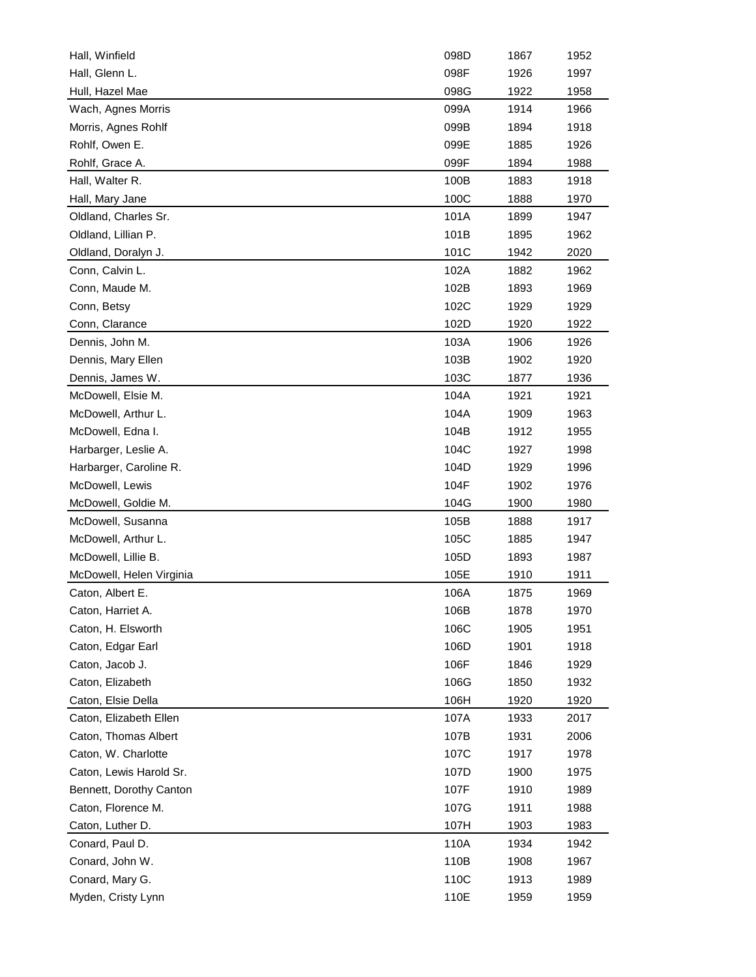| Hall, Winfield           | 098D | 1867 | 1952 |
|--------------------------|------|------|------|
| Hall, Glenn L.           | 098F | 1926 | 1997 |
| Hull, Hazel Mae          | 098G | 1922 | 1958 |
| Wach, Agnes Morris       | 099A | 1914 | 1966 |
| Morris, Agnes Rohlf      | 099B | 1894 | 1918 |
| Rohlf, Owen E.           | 099E | 1885 | 1926 |
| Rohlf, Grace A.          | 099F | 1894 | 1988 |
| Hall, Walter R.          | 100B | 1883 | 1918 |
| Hall, Mary Jane          | 100C | 1888 | 1970 |
| Oldland, Charles Sr.     | 101A | 1899 | 1947 |
| Oldland, Lillian P.      | 101B | 1895 | 1962 |
| Oldland, Doralyn J.      | 101C | 1942 | 2020 |
| Conn, Calvin L.          | 102A | 1882 | 1962 |
| Conn, Maude M.           | 102B | 1893 | 1969 |
| Conn, Betsy              | 102C | 1929 | 1929 |
| Conn, Clarance           | 102D | 1920 | 1922 |
| Dennis, John M.          | 103A | 1906 | 1926 |
| Dennis, Mary Ellen       | 103B | 1902 | 1920 |
| Dennis, James W.         | 103C | 1877 | 1936 |
| McDowell, Elsie M.       | 104A | 1921 | 1921 |
| McDowell, Arthur L.      | 104A | 1909 | 1963 |
| McDowell, Edna I.        | 104B | 1912 | 1955 |
| Harbarger, Leslie A.     | 104C | 1927 | 1998 |
| Harbarger, Caroline R.   | 104D | 1929 | 1996 |
| McDowell, Lewis          | 104F | 1902 | 1976 |
| McDowell, Goldie M.      | 104G | 1900 | 1980 |
| McDowell, Susanna        | 105B | 1888 | 1917 |
| McDowell, Arthur L.      | 105C | 1885 | 1947 |
| McDowell, Lillie B.      | 105D | 1893 | 1987 |
| McDowell, Helen Virginia | 105E | 1910 | 1911 |
| Caton, Albert E.         | 106A | 1875 | 1969 |
| Caton, Harriet A.        | 106B | 1878 | 1970 |
| Caton, H. Elsworth       | 106C | 1905 | 1951 |
| Caton, Edgar Earl        | 106D | 1901 | 1918 |
| Caton, Jacob J.          | 106F | 1846 | 1929 |
| Caton, Elizabeth         | 106G | 1850 | 1932 |
| Caton, Elsie Della       | 106H | 1920 | 1920 |
| Caton, Elizabeth Ellen   | 107A | 1933 | 2017 |
| Caton, Thomas Albert     | 107B | 1931 | 2006 |
| Caton, W. Charlotte      | 107C |      |      |
|                          |      | 1917 | 1978 |
| Caton, Lewis Harold Sr.  | 107D | 1900 | 1975 |
| Bennett, Dorothy Canton  | 107F | 1910 | 1989 |
| Caton, Florence M.       | 107G | 1911 | 1988 |
| Caton, Luther D.         | 107H | 1903 | 1983 |
| Conard, Paul D.          | 110A | 1934 | 1942 |
| Conard, John W.          | 110B | 1908 | 1967 |
| Conard, Mary G.          | 110C | 1913 | 1989 |
| Myden, Cristy Lynn       | 110E | 1959 | 1959 |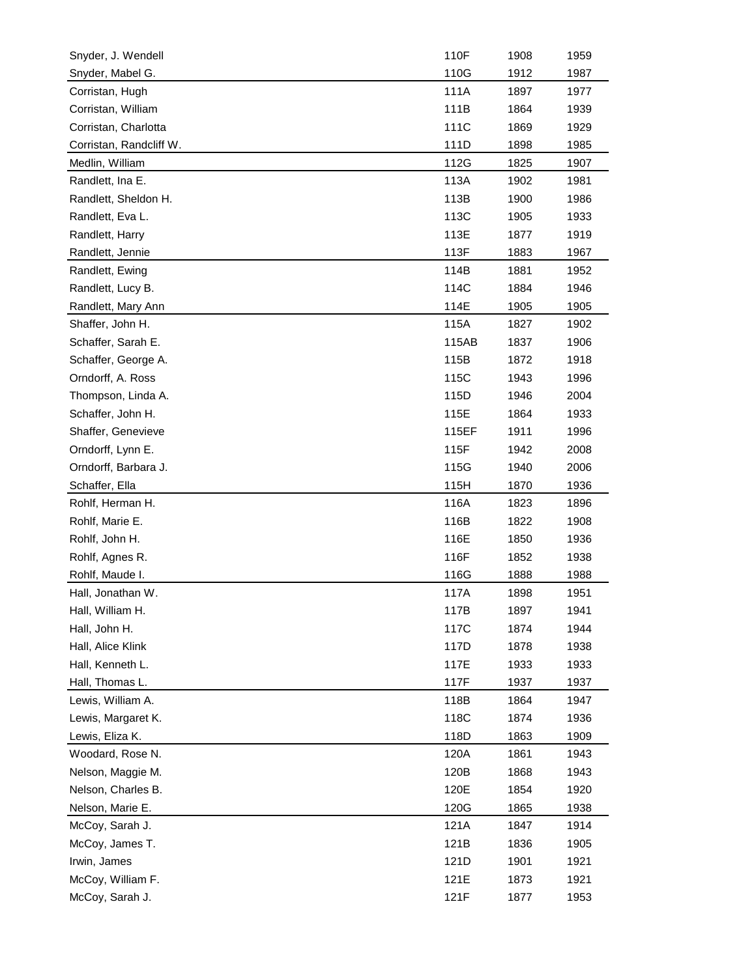| Snyder, J. Wendell      | 110F  | 1908 | 1959 |
|-------------------------|-------|------|------|
| Snyder, Mabel G.        | 110G  | 1912 | 1987 |
| Corristan, Hugh         | 111A  | 1897 | 1977 |
| Corristan, William      | 111B  | 1864 | 1939 |
| Corristan, Charlotta    | 111C  | 1869 | 1929 |
| Corristan, Randcliff W. | 111D  | 1898 | 1985 |
| Medlin, William         | 112G  | 1825 | 1907 |
| Randlett, Ina E.        | 113A  | 1902 | 1981 |
| Randlett, Sheldon H.    | 113B  | 1900 | 1986 |
| Randlett, Eva L.        | 113C  | 1905 | 1933 |
| Randlett, Harry         | 113E  | 1877 | 1919 |
| Randlett, Jennie        | 113F  | 1883 | 1967 |
| Randlett, Ewing         | 114B  | 1881 | 1952 |
| Randlett, Lucy B.       | 114C  | 1884 | 1946 |
| Randlett, Mary Ann      | 114E  | 1905 | 1905 |
| Shaffer, John H.        | 115A  | 1827 | 1902 |
| Schaffer, Sarah E.      | 115AB | 1837 | 1906 |
| Schaffer, George A.     | 115B  | 1872 | 1918 |
| Orndorff, A. Ross       | 115C  | 1943 | 1996 |
| Thompson, Linda A.      | 115D  | 1946 | 2004 |
| Schaffer, John H.       | 115E  | 1864 | 1933 |
| Shaffer, Genevieve      | 115EF | 1911 | 1996 |
|                         | 115F  | 1942 | 2008 |
| Orndorff, Lynn E.       |       |      |      |
| Orndorff, Barbara J.    | 115G  | 1940 | 2006 |
| Schaffer, Ella          | 115H  | 1870 | 1936 |
| Rohlf, Herman H.        | 116A  | 1823 | 1896 |
| Rohlf, Marie E.         | 116B  | 1822 | 1908 |
| Rohlf, John H.          | 116E  | 1850 | 1936 |
| Rohlf, Agnes R.         | 116F  | 1852 | 1938 |
| Rohlf, Maude I.         | 116G  | 1888 | 1988 |
| Hall, Jonathan W.       | 117A  | 1898 | 1951 |
| Hall, William H.        | 117B  | 1897 | 1941 |
| Hall, John H.           | 117C  | 1874 | 1944 |
| Hall, Alice Klink       | 117D  | 1878 | 1938 |
| Hall, Kenneth L.        | 117E  | 1933 | 1933 |
| Hall, Thomas L.         | 117F  | 1937 | 1937 |
| Lewis, William A.       | 118B  | 1864 | 1947 |
| Lewis, Margaret K.      | 118C  | 1874 | 1936 |
| Lewis, Eliza K.         | 118D  | 1863 | 1909 |
| Woodard, Rose N.        | 120A  | 1861 | 1943 |
| Nelson, Maggie M.       | 120B  | 1868 | 1943 |
| Nelson, Charles B.      | 120E  | 1854 | 1920 |
| Nelson, Marie E.        | 120G  | 1865 | 1938 |
| McCoy, Sarah J.         | 121A  | 1847 | 1914 |
| McCoy, James T.         | 121B  | 1836 | 1905 |
| Irwin, James            | 121D  | 1901 | 1921 |
| McCoy, William F.       | 121E  | 1873 | 1921 |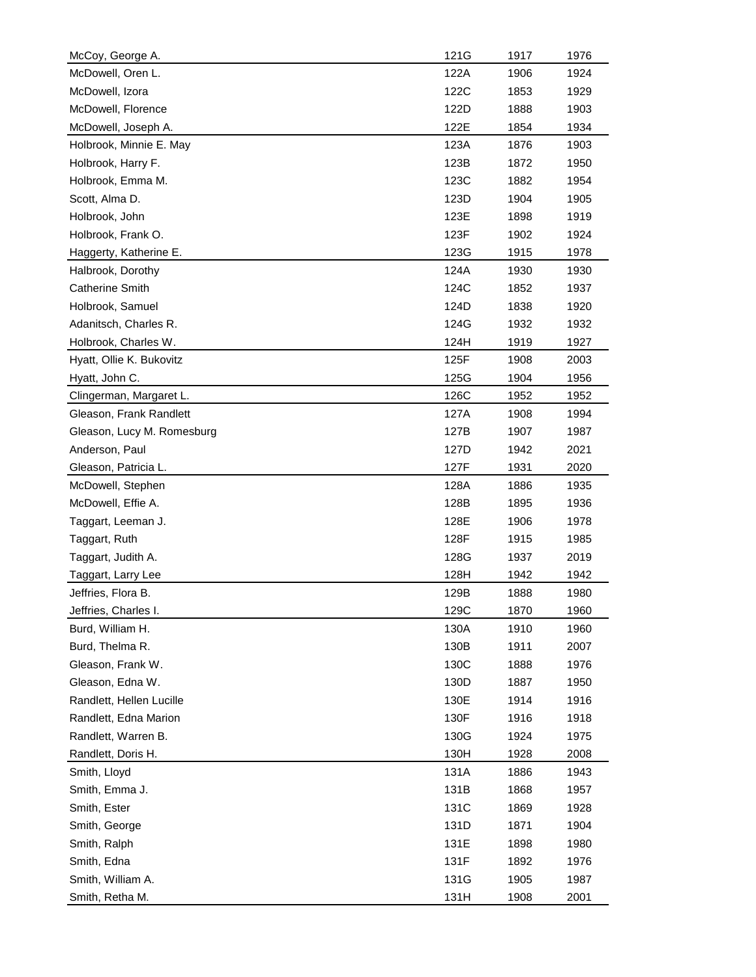| McCoy, George A.           | 121G | 1917 | 1976 |
|----------------------------|------|------|------|
| McDowell, Oren L.          | 122A | 1906 | 1924 |
| McDowell, Izora            | 122C | 1853 | 1929 |
| McDowell, Florence         | 122D | 1888 | 1903 |
| McDowell, Joseph A.        | 122E | 1854 | 1934 |
| Holbrook, Minnie E. May    | 123A | 1876 | 1903 |
| Holbrook, Harry F.         | 123B | 1872 | 1950 |
| Holbrook, Emma M.          | 123C | 1882 | 1954 |
| Scott, Alma D.             | 123D | 1904 | 1905 |
| Holbrook, John             | 123E | 1898 | 1919 |
| Holbrook, Frank O.         | 123F | 1902 | 1924 |
| Haggerty, Katherine E.     | 123G | 1915 | 1978 |
| Halbrook, Dorothy          | 124A | 1930 | 1930 |
| <b>Catherine Smith</b>     | 124C | 1852 | 1937 |
| Holbrook, Samuel           | 124D | 1838 | 1920 |
| Adanitsch, Charles R.      | 124G | 1932 | 1932 |
| Holbrook, Charles W.       | 124H | 1919 | 1927 |
| Hyatt, Ollie K. Bukovitz   | 125F | 1908 | 2003 |
| Hyatt, John C.             | 125G | 1904 | 1956 |
| Clingerman, Margaret L.    | 126C | 1952 | 1952 |
| Gleason, Frank Randlett    | 127A | 1908 | 1994 |
| Gleason, Lucy M. Romesburg | 127B | 1907 | 1987 |
| Anderson, Paul             | 127D | 1942 | 2021 |
| Gleason, Patricia L.       | 127F | 1931 | 2020 |
| McDowell, Stephen          | 128A | 1886 | 1935 |
| McDowell, Effie A.         | 128B | 1895 | 1936 |
| Taggart, Leeman J.         | 128E | 1906 | 1978 |
| Taggart, Ruth              | 128F | 1915 | 1985 |
| Taggart, Judith A.         | 128G | 1937 | 2019 |
| Taggart, Larry Lee         | 128H | 1942 | 1942 |
| Jeffries, Flora B.         | 129B | 1888 | 1980 |
| Jeffries, Charles I.       | 129C | 1870 | 1960 |
| Burd, William H.           | 130A | 1910 | 1960 |
| Burd, Thelma R.            | 130B | 1911 | 2007 |
| Gleason, Frank W.          | 130C | 1888 | 1976 |
| Gleason, Edna W.           | 130D | 1887 | 1950 |
| Randlett, Hellen Lucille   | 130E | 1914 | 1916 |
| Randlett, Edna Marion      | 130F | 1916 | 1918 |
| Randlett, Warren B.        | 130G | 1924 | 1975 |
| Randlett, Doris H.         | 130H | 1928 | 2008 |
| Smith, Lloyd               | 131A | 1886 | 1943 |
| Smith, Emma J.             | 131B | 1868 | 1957 |
| Smith, Ester               | 131C | 1869 | 1928 |
| Smith, George              | 131D | 1871 | 1904 |
| Smith, Ralph               | 131E | 1898 | 1980 |
| Smith, Edna                | 131F | 1892 | 1976 |
| Smith, William A.          | 131G | 1905 | 1987 |
| Smith, Retha M.            | 131H | 1908 | 2001 |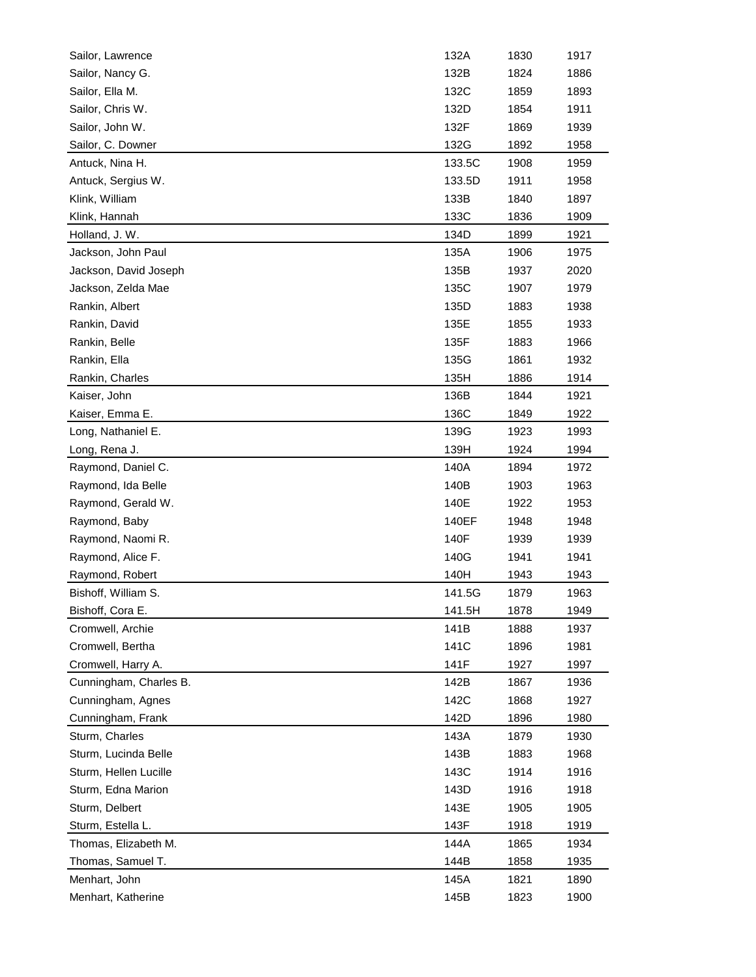| Sailor, Lawrence       | 132A   | 1830 | 1917 |
|------------------------|--------|------|------|
| Sailor, Nancy G.       | 132B   | 1824 | 1886 |
| Sailor, Ella M.        | 132C   | 1859 | 1893 |
| Sailor, Chris W.       | 132D   | 1854 | 1911 |
| Sailor, John W.        | 132F   | 1869 | 1939 |
| Sailor, C. Downer      | 132G   | 1892 | 1958 |
| Antuck, Nina H.        | 133.5C | 1908 | 1959 |
| Antuck, Sergius W.     | 133.5D | 1911 | 1958 |
| Klink, William         | 133B   | 1840 | 1897 |
| Klink, Hannah          | 133C   | 1836 | 1909 |
| Holland, J. W.         | 134D   | 1899 | 1921 |
| Jackson, John Paul     | 135A   | 1906 | 1975 |
| Jackson, David Joseph  | 135B   | 1937 | 2020 |
| Jackson, Zelda Mae     | 135C   | 1907 | 1979 |
| Rankin, Albert         | 135D   | 1883 | 1938 |
| Rankin, David          | 135E   | 1855 | 1933 |
| Rankin, Belle          | 135F   | 1883 | 1966 |
| Rankin, Ella           | 135G   | 1861 | 1932 |
| Rankin, Charles        | 135H   | 1886 | 1914 |
| Kaiser, John           | 136B   | 1844 | 1921 |
| Kaiser, Emma E.        | 136C   | 1849 | 1922 |
| Long, Nathaniel E.     | 139G   | 1923 | 1993 |
| Long, Rena J.          | 139H   | 1924 | 1994 |
| Raymond, Daniel C.     | 140A   | 1894 | 1972 |
| Raymond, Ida Belle     | 140B   | 1903 | 1963 |
| Raymond, Gerald W.     | 140E   | 1922 | 1953 |
| Raymond, Baby          | 140EF  | 1948 | 1948 |
| Raymond, Naomi R.      | 140F   | 1939 | 1939 |
| Raymond, Alice F.      | 140G   | 1941 | 1941 |
| Raymond, Robert        | 140H   | 1943 | 1943 |
| Bishoff, William S.    | 141.5G | 1879 | 1963 |
| Bishoff, Cora E.       | 141.5H | 1878 | 1949 |
| Cromwell, Archie       | 141B   | 1888 | 1937 |
| Cromwell, Bertha       | 141C   | 1896 | 1981 |
| Cromwell, Harry A.     | 141F   | 1927 | 1997 |
| Cunningham, Charles B. | 142B   | 1867 | 1936 |
| Cunningham, Agnes      | 142C   | 1868 | 1927 |
| Cunningham, Frank      | 142D   | 1896 | 1980 |
| Sturm, Charles         | 143A   | 1879 | 1930 |
| Sturm, Lucinda Belle   | 143B   | 1883 | 1968 |
| Sturm, Hellen Lucille  | 143C   | 1914 | 1916 |
| Sturm, Edna Marion     | 143D   | 1916 | 1918 |
| Sturm, Delbert         | 143E   | 1905 | 1905 |
| Sturm, Estella L.      | 143F   | 1918 | 1919 |
| Thomas, Elizabeth M.   | 144A   | 1865 | 1934 |
| Thomas, Samuel T.      | 144B   | 1858 | 1935 |
| Menhart, John          | 145A   | 1821 | 1890 |
| Menhart, Katherine     | 145B   | 1823 | 1900 |
|                        |        |      |      |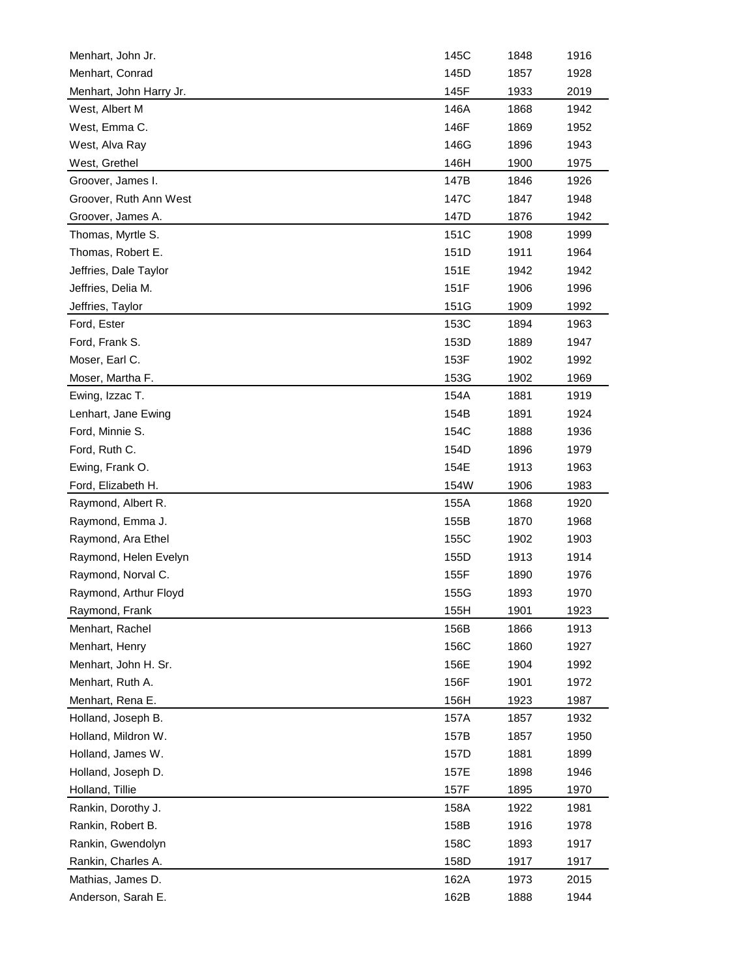| Menhart, John Jr.                       | 145C         | 1848         | 1916         |
|-----------------------------------------|--------------|--------------|--------------|
| Menhart, Conrad                         | 145D         | 1857         | 1928         |
| Menhart, John Harry Jr.                 | 145F         | 1933         | 2019         |
| West, Albert M                          | 146A         | 1868         | 1942         |
| West, Emma C.                           | 146F         | 1869         | 1952         |
| West, Alva Ray                          | 146G         | 1896         | 1943         |
| West, Grethel                           | 146H         | 1900         | 1975         |
| Groover, James I.                       | 147B         | 1846         | 1926         |
| Groover, Ruth Ann West                  | 147C         | 1847         | 1948         |
| Groover, James A.                       | 147D         | 1876         | 1942         |
| Thomas, Myrtle S.                       | 151C         | 1908         | 1999         |
| Thomas, Robert E.                       | 151D         | 1911         | 1964         |
| Jeffries, Dale Taylor                   | 151E         | 1942         | 1942         |
| Jeffries, Delia M.                      | 151F         | 1906         | 1996         |
| Jeffries, Taylor                        | 151G         | 1909         | 1992         |
| Ford, Ester                             | 153C         | 1894         | 1963         |
| Ford, Frank S.                          | 153D         | 1889         | 1947         |
| Moser, Earl C.                          | 153F         | 1902         | 1992         |
| Moser, Martha F.                        | 153G         | 1902         | 1969         |
| Ewing, Izzac T.                         | 154A         | 1881         | 1919         |
| Lenhart, Jane Ewing                     | 154B         | 1891         | 1924         |
| Ford, Minnie S.                         | 154C         | 1888         | 1936         |
| Ford, Ruth C.                           | 154D         | 1896         | 1979         |
| Ewing, Frank O.                         | 154E         | 1913         | 1963         |
| Ford, Elizabeth H.                      | 154W         | 1906         | 1983         |
| Raymond, Albert R.                      | 155A         | 1868         | 1920         |
| Raymond, Emma J.                        | 155B         | 1870         | 1968         |
| Raymond, Ara Ethel                      | 155C         | 1902         | 1903         |
| Raymond, Helen Evelyn                   | 155D         | 1913         | 1914         |
| Raymond, Norval C.                      | 155F         | 1890         | 1976         |
| Raymond, Arthur Floyd                   | 155G         | 1893         | 1970         |
| Raymond, Frank                          | 155H         | 1901         | 1923         |
| Menhart, Rachel                         | 156B         | 1866         | 1913         |
| Menhart, Henry                          | 156C         | 1860         | 1927         |
| Menhart, John H. Sr.                    | 156E         | 1904         | 1992         |
| Menhart, Ruth A.                        | 156F         | 1901         | 1972         |
| Menhart, Rena E.                        | 156H         | 1923         | 1987         |
| Holland, Joseph B.                      | 157A         | 1857         | 1932         |
| Holland, Mildron W.                     | 157B         | 1857         | 1950         |
| Holland, James W.                       |              |              |              |
|                                         | 157D         | 1881         | 1899         |
| Holland, Joseph D.                      | 157E         | 1898         | 1946         |
| Holland, Tillie                         |              |              |              |
|                                         | 157F         | 1895         | 1970         |
| Rankin, Dorothy J.                      | 158A         | 1922         | 1981         |
| Rankin, Robert B.                       | 158B         | 1916         | 1978         |
| Rankin, Gwendolyn                       | 158C         | 1893         | 1917         |
| Rankin, Charles A.                      | 158D         | 1917         | 1917         |
| Mathias, James D.<br>Anderson, Sarah E. | 162A<br>162B | 1973<br>1888 | 2015<br>1944 |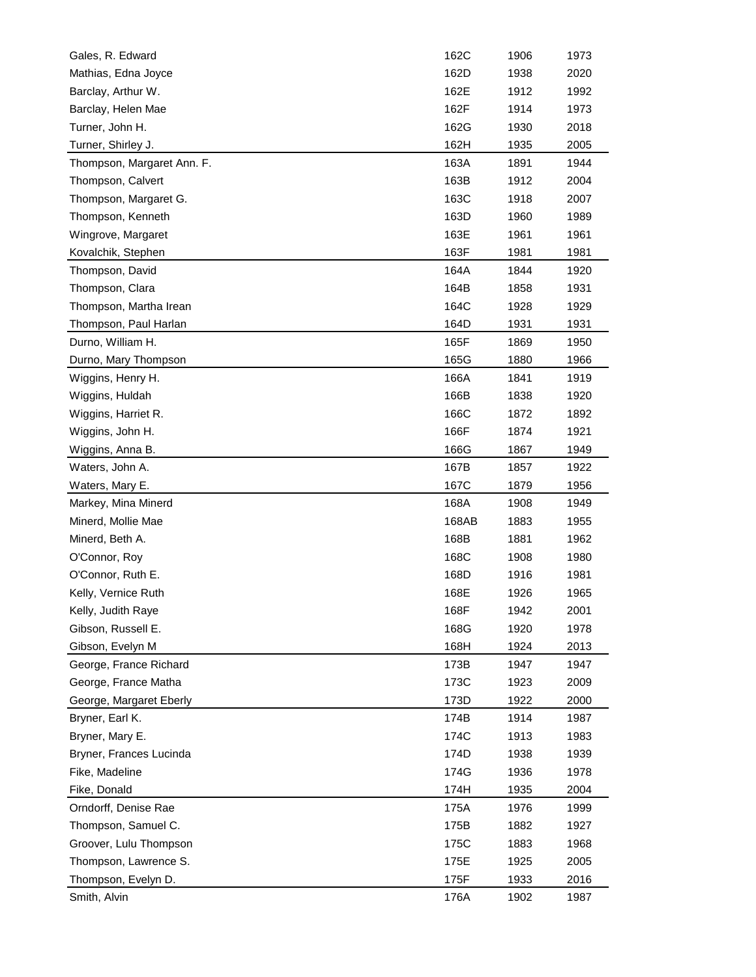| Gales, R. Edward                    | 162C         | 1906         | 1973         |
|-------------------------------------|--------------|--------------|--------------|
| Mathias, Edna Joyce                 | 162D         | 1938         | 2020         |
| Barclay, Arthur W.                  | 162E         | 1912         | 1992         |
| Barclay, Helen Mae                  | 162F         | 1914         | 1973         |
| Turner, John H.                     | 162G         | 1930         | 2018         |
| Turner, Shirley J.                  | 162H         | 1935         | 2005         |
| Thompson, Margaret Ann. F.          | 163A         | 1891         | 1944         |
| Thompson, Calvert                   | 163B         | 1912         | 2004         |
| Thompson, Margaret G.               | 163C         | 1918         | 2007         |
| Thompson, Kenneth                   | 163D         | 1960         | 1989         |
| Wingrove, Margaret                  | 163E         | 1961         | 1961         |
| Kovalchik, Stephen                  | 163F         | 1981         | 1981         |
| Thompson, David                     | 164A         | 1844         | 1920         |
| Thompson, Clara                     | 164B         | 1858         | 1931         |
| Thompson, Martha Irean              | 164C         | 1928         | 1929         |
| Thompson, Paul Harlan               | 164D         | 1931         | 1931         |
| Durno, William H.                   | 165F         | 1869         | 1950         |
| Durno, Mary Thompson                | 165G         | 1880         | 1966         |
| Wiggins, Henry H.                   | 166A         | 1841         | 1919         |
| Wiggins, Huldah                     | 166B         | 1838         | 1920         |
| Wiggins, Harriet R.                 | 166C         | 1872         | 1892         |
| Wiggins, John H.                    | 166F         | 1874         | 1921         |
| Wiggins, Anna B.                    | 166G         | 1867         | 1949         |
| Waters, John A.                     | 167B         | 1857         | 1922         |
| Waters, Mary E.                     | 167C         | 1879         | 1956         |
| Markey, Mina Minerd                 | 168A         | 1908         | 1949         |
| Minerd, Mollie Mae                  | 168AB        | 1883         | 1955         |
| Minerd, Beth A.                     | 168B         | 1881         | 1962         |
| O'Connor, Roy                       | 168C         | 1908         | 1980         |
| O'Connor, Ruth E.                   | 168D         | 1916         | 1981         |
| Kelly, Vernice Ruth                 | 168E         | 1926         | 1965         |
| Kelly, Judith Raye                  | 168F         | 1942         | 2001         |
|                                     |              |              |              |
|                                     |              |              |              |
| Gibson, Russell E.                  | 168G         | 1920         | 1978         |
| Gibson, Evelyn M                    | 168H         | 1924         | 2013         |
| George, France Richard              | 173B         | 1947         | 1947         |
| George, France Matha                | 173C         | 1923         | 2009         |
| George, Margaret Eberly             | 173D         | 1922         | 2000         |
| Bryner, Earl K.                     | 174B         | 1914         | 1987         |
| Bryner, Mary E.                     | 174C         | 1913         | 1983         |
| Bryner, Frances Lucinda             | 174D         | 1938         | 1939         |
| Fike, Madeline                      | 174G         | 1936         | 1978         |
| Fike, Donald                        | 174H         | 1935         | 2004         |
| Orndorff, Denise Rae                | 175A         | 1976         | 1999         |
| Thompson, Samuel C.                 | 175B         | 1882         | 1927         |
| Groover, Lulu Thompson              | 175C         | 1883         | 1968         |
| Thompson, Lawrence S.               | 175E         | 1925         | 2005         |
| Thompson, Evelyn D.<br>Smith, Alvin | 175F<br>176A | 1933<br>1902 | 2016<br>1987 |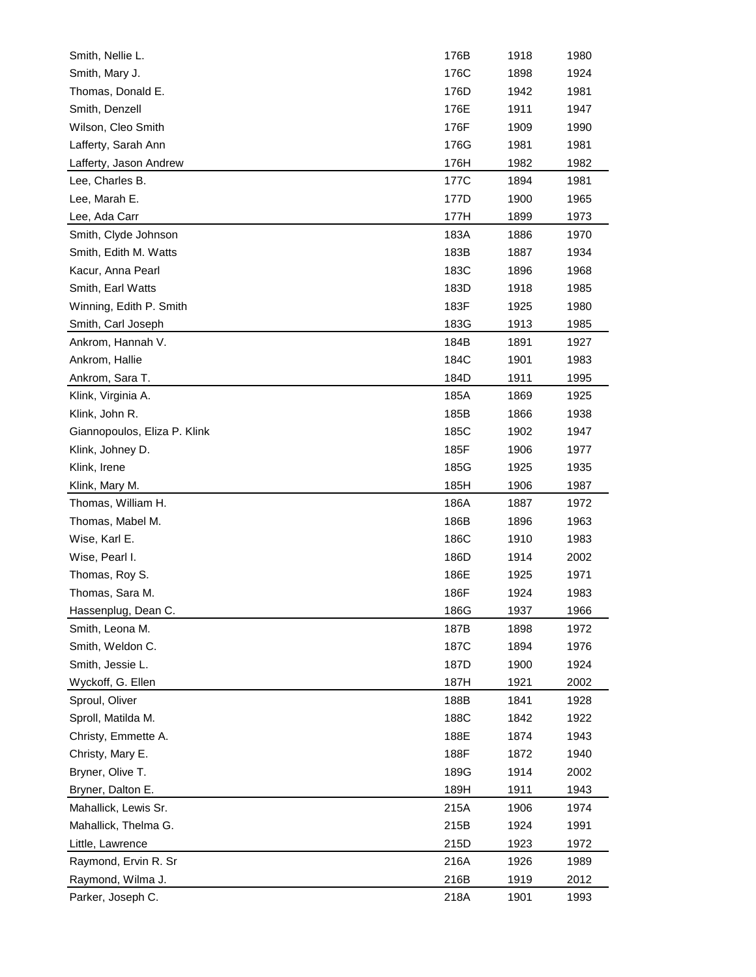| Smith, Nellie L.             | 176B | 1918 | 1980 |
|------------------------------|------|------|------|
| Smith, Mary J.               | 176C | 1898 | 1924 |
| Thomas, Donald E.            | 176D | 1942 | 1981 |
| Smith, Denzell               | 176E | 1911 | 1947 |
| Wilson, Cleo Smith           | 176F | 1909 | 1990 |
| Lafferty, Sarah Ann          | 176G | 1981 | 1981 |
| Lafferty, Jason Andrew       | 176H | 1982 | 1982 |
| Lee, Charles B.              | 177C | 1894 | 1981 |
| Lee, Marah E.                | 177D | 1900 | 1965 |
| Lee, Ada Carr                | 177H | 1899 | 1973 |
| Smith, Clyde Johnson         | 183A | 1886 | 1970 |
| Smith, Edith M. Watts        | 183B | 1887 | 1934 |
| Kacur, Anna Pearl            | 183C | 1896 | 1968 |
| Smith, Earl Watts            | 183D | 1918 | 1985 |
| Winning, Edith P. Smith      | 183F | 1925 | 1980 |
| Smith, Carl Joseph           | 183G | 1913 | 1985 |
| Ankrom, Hannah V.            | 184B | 1891 | 1927 |
| Ankrom, Hallie               | 184C | 1901 | 1983 |
| Ankrom, Sara T.              | 184D | 1911 | 1995 |
| Klink, Virginia A.           | 185A | 1869 | 1925 |
| Klink, John R.               | 185B | 1866 | 1938 |
| Giannopoulos, Eliza P. Klink | 185C | 1902 | 1947 |
| Klink, Johney D.             | 185F | 1906 | 1977 |
| Klink, Irene                 | 185G | 1925 | 1935 |
| Klink, Mary M.               | 185H | 1906 | 1987 |
| Thomas, William H.           | 186A | 1887 | 1972 |
| Thomas, Mabel M.             | 186B | 1896 | 1963 |
| Wise, Karl E.                | 186C | 1910 | 1983 |
| Wise, Pearl I.               | 186D | 1914 | 2002 |
| Thomas, Roy S.               | 186E | 1925 | 1971 |
| Thomas, Sara M.              | 186F | 1924 | 1983 |
| Hassenplug, Dean C.          | 186G | 1937 | 1966 |
| Smith, Leona M.              | 187B | 1898 | 1972 |
| Smith, Weldon C.             | 187C | 1894 | 1976 |
| Smith, Jessie L.             | 187D | 1900 | 1924 |
| Wyckoff, G. Ellen            | 187H | 1921 | 2002 |
| Sproul, Oliver               | 188B | 1841 | 1928 |
| Sproll, Matilda M.           | 188C | 1842 | 1922 |
| Christy, Emmette A.          | 188E | 1874 | 1943 |
| Christy, Mary E.             | 188F | 1872 | 1940 |
| Bryner, Olive T.             | 189G | 1914 | 2002 |
|                              |      |      |      |
| Bryner, Dalton E.            | 189H | 1911 | 1943 |
| Mahallick, Lewis Sr.         | 215A | 1906 | 1974 |
| Mahallick, Thelma G.         | 215B | 1924 | 1991 |
| Little, Lawrence             | 215D | 1923 | 1972 |
| Raymond, Ervin R. Sr         | 216A | 1926 | 1989 |
| Raymond, Wilma J.            | 216B | 1919 | 2012 |
| Parker, Joseph C.            | 218A | 1901 | 1993 |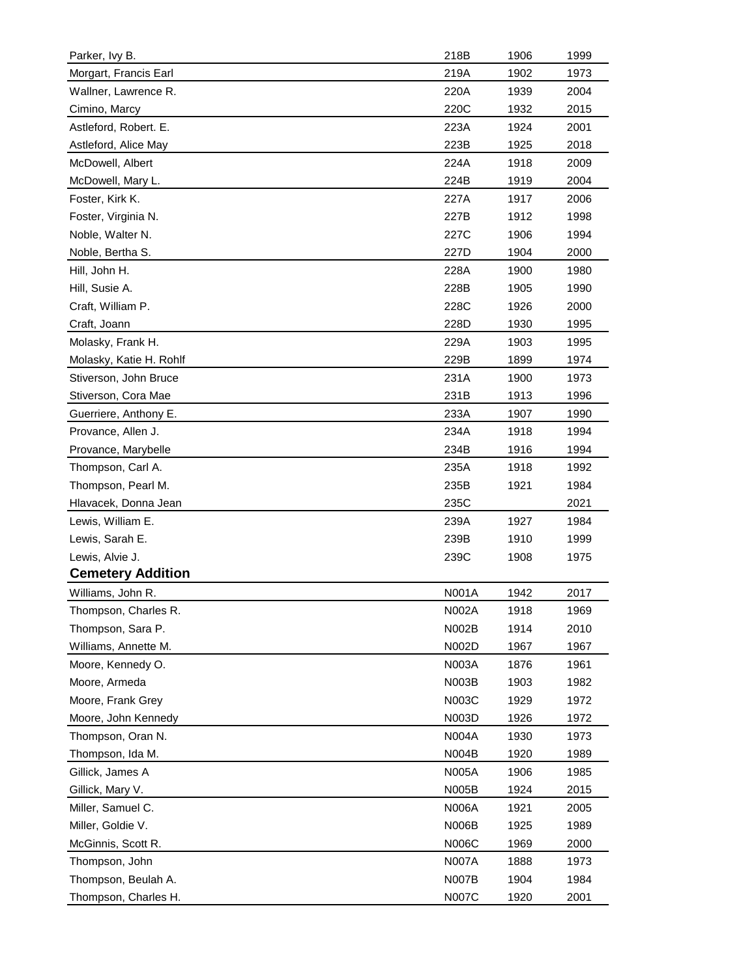| Morgart, Francis Earl<br>219A<br>1902<br>1973<br>Wallner, Lawrence R.<br>220A<br>2004<br>1939<br>Cimino, Marcy<br>220C<br>1932<br>2015<br>Astleford, Robert. E.<br>223A<br>1924<br>2001<br>223B<br>Astleford, Alice May<br>1925<br>2018<br>McDowell, Albert<br>224A<br>1918<br>2009<br>224B<br>1919<br>2004<br>McDowell, Mary L.<br>Foster, Kirk K.<br>227A<br>1917<br>2006<br>227B<br>Foster, Virginia N.<br>1912<br>1998<br>Noble, Walter N.<br>227C<br>1906<br>1994<br>227D<br>1904<br>Noble, Bertha S.<br>2000<br>Hill, John H.<br>228A<br>1900<br>1980<br>Hill, Susie A.<br>228B<br>1905<br>1990<br>Craft, William P.<br>228C<br>1926<br>2000<br>Craft, Joann<br>228D<br>1930<br>1995<br>Molasky, Frank H.<br>229A<br>1903<br>1995<br>Molasky, Katie H. Rohlf<br>229B<br>1899<br>1974<br>231A<br>1900<br>Stiverson, John Bruce<br>1973<br>231B<br>1913<br>1996<br>Stiverson, Cora Mae<br>233A<br>Guerriere, Anthony E.<br>1907<br>1990<br>Provance, Allen J.<br>234A<br>1918<br>1994<br>Provance, Marybelle<br>234B<br>1916<br>1994<br>Thompson, Carl A.<br>235A<br>1918<br>1992<br>Thompson, Pearl M.<br>235B<br>1921<br>1984<br>Hlavacek, Donna Jean<br>235C<br>2021<br>Lewis, William E.<br>239A<br>1927<br>1984<br>Lewis, Sarah E.<br>239B<br>1910<br>1999<br>Lewis, Alvie J.<br>239C<br>1908<br>1975<br><b>Cemetery Addition</b><br>Williams, John R.<br>N001A<br>1942<br>2017<br>1918<br>Thompson, Charles R.<br>N002A<br>1969<br>Thompson, Sara P.<br>N002B<br>1914<br>2010<br>Williams, Annette M.<br>N002D<br>1967<br>1967<br>Moore, Kennedy O.<br>N003A<br>1876<br>1961<br>Moore, Armeda<br>N003B<br>1903<br>1982<br>Moore, Frank Grey<br>N003C<br>1929<br>1972<br>Moore, John Kennedy<br>N003D<br>1926<br>1972<br>Thompson, Oran N.<br>N004A<br>1930<br>1973<br>Thompson, Ida M.<br>N004B<br>1920<br>1989<br><b>N005A</b><br>Gillick, James A<br>1906<br>1985<br>Gillick, Mary V.<br>N005B<br>1924<br>2015<br>Miller, Samuel C.<br><b>N006A</b><br>1921<br>2005<br>Miller, Goldie V.<br>N006B<br>1925<br>1989<br>McGinnis, Scott R.<br>N006C<br>1969<br>2000<br>Thompson, John<br><b>N007A</b><br>1888<br>1973<br>Thompson, Beulah A.<br><b>N007B</b><br>1904<br>1984<br><b>N007C</b><br>Thompson, Charles H.<br>1920<br>2001 | Parker, Ivy B. | 218B | 1906 | 1999 |
|-----------------------------------------------------------------------------------------------------------------------------------------------------------------------------------------------------------------------------------------------------------------------------------------------------------------------------------------------------------------------------------------------------------------------------------------------------------------------------------------------------------------------------------------------------------------------------------------------------------------------------------------------------------------------------------------------------------------------------------------------------------------------------------------------------------------------------------------------------------------------------------------------------------------------------------------------------------------------------------------------------------------------------------------------------------------------------------------------------------------------------------------------------------------------------------------------------------------------------------------------------------------------------------------------------------------------------------------------------------------------------------------------------------------------------------------------------------------------------------------------------------------------------------------------------------------------------------------------------------------------------------------------------------------------------------------------------------------------------------------------------------------------------------------------------------------------------------------------------------------------------------------------------------------------------------------------------------------------------------------------------------------------------------------------------------------------------------------------------------------------------------------------------------------------------------------------------------------------------------------------|----------------|------|------|------|
|                                                                                                                                                                                                                                                                                                                                                                                                                                                                                                                                                                                                                                                                                                                                                                                                                                                                                                                                                                                                                                                                                                                                                                                                                                                                                                                                                                                                                                                                                                                                                                                                                                                                                                                                                                                                                                                                                                                                                                                                                                                                                                                                                                                                                                               |                |      |      |      |
|                                                                                                                                                                                                                                                                                                                                                                                                                                                                                                                                                                                                                                                                                                                                                                                                                                                                                                                                                                                                                                                                                                                                                                                                                                                                                                                                                                                                                                                                                                                                                                                                                                                                                                                                                                                                                                                                                                                                                                                                                                                                                                                                                                                                                                               |                |      |      |      |
|                                                                                                                                                                                                                                                                                                                                                                                                                                                                                                                                                                                                                                                                                                                                                                                                                                                                                                                                                                                                                                                                                                                                                                                                                                                                                                                                                                                                                                                                                                                                                                                                                                                                                                                                                                                                                                                                                                                                                                                                                                                                                                                                                                                                                                               |                |      |      |      |
|                                                                                                                                                                                                                                                                                                                                                                                                                                                                                                                                                                                                                                                                                                                                                                                                                                                                                                                                                                                                                                                                                                                                                                                                                                                                                                                                                                                                                                                                                                                                                                                                                                                                                                                                                                                                                                                                                                                                                                                                                                                                                                                                                                                                                                               |                |      |      |      |
|                                                                                                                                                                                                                                                                                                                                                                                                                                                                                                                                                                                                                                                                                                                                                                                                                                                                                                                                                                                                                                                                                                                                                                                                                                                                                                                                                                                                                                                                                                                                                                                                                                                                                                                                                                                                                                                                                                                                                                                                                                                                                                                                                                                                                                               |                |      |      |      |
|                                                                                                                                                                                                                                                                                                                                                                                                                                                                                                                                                                                                                                                                                                                                                                                                                                                                                                                                                                                                                                                                                                                                                                                                                                                                                                                                                                                                                                                                                                                                                                                                                                                                                                                                                                                                                                                                                                                                                                                                                                                                                                                                                                                                                                               |                |      |      |      |
|                                                                                                                                                                                                                                                                                                                                                                                                                                                                                                                                                                                                                                                                                                                                                                                                                                                                                                                                                                                                                                                                                                                                                                                                                                                                                                                                                                                                                                                                                                                                                                                                                                                                                                                                                                                                                                                                                                                                                                                                                                                                                                                                                                                                                                               |                |      |      |      |
|                                                                                                                                                                                                                                                                                                                                                                                                                                                                                                                                                                                                                                                                                                                                                                                                                                                                                                                                                                                                                                                                                                                                                                                                                                                                                                                                                                                                                                                                                                                                                                                                                                                                                                                                                                                                                                                                                                                                                                                                                                                                                                                                                                                                                                               |                |      |      |      |
|                                                                                                                                                                                                                                                                                                                                                                                                                                                                                                                                                                                                                                                                                                                                                                                                                                                                                                                                                                                                                                                                                                                                                                                                                                                                                                                                                                                                                                                                                                                                                                                                                                                                                                                                                                                                                                                                                                                                                                                                                                                                                                                                                                                                                                               |                |      |      |      |
|                                                                                                                                                                                                                                                                                                                                                                                                                                                                                                                                                                                                                                                                                                                                                                                                                                                                                                                                                                                                                                                                                                                                                                                                                                                                                                                                                                                                                                                                                                                                                                                                                                                                                                                                                                                                                                                                                                                                                                                                                                                                                                                                                                                                                                               |                |      |      |      |
|                                                                                                                                                                                                                                                                                                                                                                                                                                                                                                                                                                                                                                                                                                                                                                                                                                                                                                                                                                                                                                                                                                                                                                                                                                                                                                                                                                                                                                                                                                                                                                                                                                                                                                                                                                                                                                                                                                                                                                                                                                                                                                                                                                                                                                               |                |      |      |      |
|                                                                                                                                                                                                                                                                                                                                                                                                                                                                                                                                                                                                                                                                                                                                                                                                                                                                                                                                                                                                                                                                                                                                                                                                                                                                                                                                                                                                                                                                                                                                                                                                                                                                                                                                                                                                                                                                                                                                                                                                                                                                                                                                                                                                                                               |                |      |      |      |
|                                                                                                                                                                                                                                                                                                                                                                                                                                                                                                                                                                                                                                                                                                                                                                                                                                                                                                                                                                                                                                                                                                                                                                                                                                                                                                                                                                                                                                                                                                                                                                                                                                                                                                                                                                                                                                                                                                                                                                                                                                                                                                                                                                                                                                               |                |      |      |      |
|                                                                                                                                                                                                                                                                                                                                                                                                                                                                                                                                                                                                                                                                                                                                                                                                                                                                                                                                                                                                                                                                                                                                                                                                                                                                                                                                                                                                                                                                                                                                                                                                                                                                                                                                                                                                                                                                                                                                                                                                                                                                                                                                                                                                                                               |                |      |      |      |
|                                                                                                                                                                                                                                                                                                                                                                                                                                                                                                                                                                                                                                                                                                                                                                                                                                                                                                                                                                                                                                                                                                                                                                                                                                                                                                                                                                                                                                                                                                                                                                                                                                                                                                                                                                                                                                                                                                                                                                                                                                                                                                                                                                                                                                               |                |      |      |      |
|                                                                                                                                                                                                                                                                                                                                                                                                                                                                                                                                                                                                                                                                                                                                                                                                                                                                                                                                                                                                                                                                                                                                                                                                                                                                                                                                                                                                                                                                                                                                                                                                                                                                                                                                                                                                                                                                                                                                                                                                                                                                                                                                                                                                                                               |                |      |      |      |
|                                                                                                                                                                                                                                                                                                                                                                                                                                                                                                                                                                                                                                                                                                                                                                                                                                                                                                                                                                                                                                                                                                                                                                                                                                                                                                                                                                                                                                                                                                                                                                                                                                                                                                                                                                                                                                                                                                                                                                                                                                                                                                                                                                                                                                               |                |      |      |      |
|                                                                                                                                                                                                                                                                                                                                                                                                                                                                                                                                                                                                                                                                                                                                                                                                                                                                                                                                                                                                                                                                                                                                                                                                                                                                                                                                                                                                                                                                                                                                                                                                                                                                                                                                                                                                                                                                                                                                                                                                                                                                                                                                                                                                                                               |                |      |      |      |
|                                                                                                                                                                                                                                                                                                                                                                                                                                                                                                                                                                                                                                                                                                                                                                                                                                                                                                                                                                                                                                                                                                                                                                                                                                                                                                                                                                                                                                                                                                                                                                                                                                                                                                                                                                                                                                                                                                                                                                                                                                                                                                                                                                                                                                               |                |      |      |      |
|                                                                                                                                                                                                                                                                                                                                                                                                                                                                                                                                                                                                                                                                                                                                                                                                                                                                                                                                                                                                                                                                                                                                                                                                                                                                                                                                                                                                                                                                                                                                                                                                                                                                                                                                                                                                                                                                                                                                                                                                                                                                                                                                                                                                                                               |                |      |      |      |
|                                                                                                                                                                                                                                                                                                                                                                                                                                                                                                                                                                                                                                                                                                                                                                                                                                                                                                                                                                                                                                                                                                                                                                                                                                                                                                                                                                                                                                                                                                                                                                                                                                                                                                                                                                                                                                                                                                                                                                                                                                                                                                                                                                                                                                               |                |      |      |      |
|                                                                                                                                                                                                                                                                                                                                                                                                                                                                                                                                                                                                                                                                                                                                                                                                                                                                                                                                                                                                                                                                                                                                                                                                                                                                                                                                                                                                                                                                                                                                                                                                                                                                                                                                                                                                                                                                                                                                                                                                                                                                                                                                                                                                                                               |                |      |      |      |
|                                                                                                                                                                                                                                                                                                                                                                                                                                                                                                                                                                                                                                                                                                                                                                                                                                                                                                                                                                                                                                                                                                                                                                                                                                                                                                                                                                                                                                                                                                                                                                                                                                                                                                                                                                                                                                                                                                                                                                                                                                                                                                                                                                                                                                               |                |      |      |      |
|                                                                                                                                                                                                                                                                                                                                                                                                                                                                                                                                                                                                                                                                                                                                                                                                                                                                                                                                                                                                                                                                                                                                                                                                                                                                                                                                                                                                                                                                                                                                                                                                                                                                                                                                                                                                                                                                                                                                                                                                                                                                                                                                                                                                                                               |                |      |      |      |
|                                                                                                                                                                                                                                                                                                                                                                                                                                                                                                                                                                                                                                                                                                                                                                                                                                                                                                                                                                                                                                                                                                                                                                                                                                                                                                                                                                                                                                                                                                                                                                                                                                                                                                                                                                                                                                                                                                                                                                                                                                                                                                                                                                                                                                               |                |      |      |      |
|                                                                                                                                                                                                                                                                                                                                                                                                                                                                                                                                                                                                                                                                                                                                                                                                                                                                                                                                                                                                                                                                                                                                                                                                                                                                                                                                                                                                                                                                                                                                                                                                                                                                                                                                                                                                                                                                                                                                                                                                                                                                                                                                                                                                                                               |                |      |      |      |
|                                                                                                                                                                                                                                                                                                                                                                                                                                                                                                                                                                                                                                                                                                                                                                                                                                                                                                                                                                                                                                                                                                                                                                                                                                                                                                                                                                                                                                                                                                                                                                                                                                                                                                                                                                                                                                                                                                                                                                                                                                                                                                                                                                                                                                               |                |      |      |      |
|                                                                                                                                                                                                                                                                                                                                                                                                                                                                                                                                                                                                                                                                                                                                                                                                                                                                                                                                                                                                                                                                                                                                                                                                                                                                                                                                                                                                                                                                                                                                                                                                                                                                                                                                                                                                                                                                                                                                                                                                                                                                                                                                                                                                                                               |                |      |      |      |
|                                                                                                                                                                                                                                                                                                                                                                                                                                                                                                                                                                                                                                                                                                                                                                                                                                                                                                                                                                                                                                                                                                                                                                                                                                                                                                                                                                                                                                                                                                                                                                                                                                                                                                                                                                                                                                                                                                                                                                                                                                                                                                                                                                                                                                               |                |      |      |      |
|                                                                                                                                                                                                                                                                                                                                                                                                                                                                                                                                                                                                                                                                                                                                                                                                                                                                                                                                                                                                                                                                                                                                                                                                                                                                                                                                                                                                                                                                                                                                                                                                                                                                                                                                                                                                                                                                                                                                                                                                                                                                                                                                                                                                                                               |                |      |      |      |
|                                                                                                                                                                                                                                                                                                                                                                                                                                                                                                                                                                                                                                                                                                                                                                                                                                                                                                                                                                                                                                                                                                                                                                                                                                                                                                                                                                                                                                                                                                                                                                                                                                                                                                                                                                                                                                                                                                                                                                                                                                                                                                                                                                                                                                               |                |      |      |      |
|                                                                                                                                                                                                                                                                                                                                                                                                                                                                                                                                                                                                                                                                                                                                                                                                                                                                                                                                                                                                                                                                                                                                                                                                                                                                                                                                                                                                                                                                                                                                                                                                                                                                                                                                                                                                                                                                                                                                                                                                                                                                                                                                                                                                                                               |                |      |      |      |
|                                                                                                                                                                                                                                                                                                                                                                                                                                                                                                                                                                                                                                                                                                                                                                                                                                                                                                                                                                                                                                                                                                                                                                                                                                                                                                                                                                                                                                                                                                                                                                                                                                                                                                                                                                                                                                                                                                                                                                                                                                                                                                                                                                                                                                               |                |      |      |      |
|                                                                                                                                                                                                                                                                                                                                                                                                                                                                                                                                                                                                                                                                                                                                                                                                                                                                                                                                                                                                                                                                                                                                                                                                                                                                                                                                                                                                                                                                                                                                                                                                                                                                                                                                                                                                                                                                                                                                                                                                                                                                                                                                                                                                                                               |                |      |      |      |
|                                                                                                                                                                                                                                                                                                                                                                                                                                                                                                                                                                                                                                                                                                                                                                                                                                                                                                                                                                                                                                                                                                                                                                                                                                                                                                                                                                                                                                                                                                                                                                                                                                                                                                                                                                                                                                                                                                                                                                                                                                                                                                                                                                                                                                               |                |      |      |      |
|                                                                                                                                                                                                                                                                                                                                                                                                                                                                                                                                                                                                                                                                                                                                                                                                                                                                                                                                                                                                                                                                                                                                                                                                                                                                                                                                                                                                                                                                                                                                                                                                                                                                                                                                                                                                                                                                                                                                                                                                                                                                                                                                                                                                                                               |                |      |      |      |
|                                                                                                                                                                                                                                                                                                                                                                                                                                                                                                                                                                                                                                                                                                                                                                                                                                                                                                                                                                                                                                                                                                                                                                                                                                                                                                                                                                                                                                                                                                                                                                                                                                                                                                                                                                                                                                                                                                                                                                                                                                                                                                                                                                                                                                               |                |      |      |      |
|                                                                                                                                                                                                                                                                                                                                                                                                                                                                                                                                                                                                                                                                                                                                                                                                                                                                                                                                                                                                                                                                                                                                                                                                                                                                                                                                                                                                                                                                                                                                                                                                                                                                                                                                                                                                                                                                                                                                                                                                                                                                                                                                                                                                                                               |                |      |      |      |
|                                                                                                                                                                                                                                                                                                                                                                                                                                                                                                                                                                                                                                                                                                                                                                                                                                                                                                                                                                                                                                                                                                                                                                                                                                                                                                                                                                                                                                                                                                                                                                                                                                                                                                                                                                                                                                                                                                                                                                                                                                                                                                                                                                                                                                               |                |      |      |      |
|                                                                                                                                                                                                                                                                                                                                                                                                                                                                                                                                                                                                                                                                                                                                                                                                                                                                                                                                                                                                                                                                                                                                                                                                                                                                                                                                                                                                                                                                                                                                                                                                                                                                                                                                                                                                                                                                                                                                                                                                                                                                                                                                                                                                                                               |                |      |      |      |
|                                                                                                                                                                                                                                                                                                                                                                                                                                                                                                                                                                                                                                                                                                                                                                                                                                                                                                                                                                                                                                                                                                                                                                                                                                                                                                                                                                                                                                                                                                                                                                                                                                                                                                                                                                                                                                                                                                                                                                                                                                                                                                                                                                                                                                               |                |      |      |      |
|                                                                                                                                                                                                                                                                                                                                                                                                                                                                                                                                                                                                                                                                                                                                                                                                                                                                                                                                                                                                                                                                                                                                                                                                                                                                                                                                                                                                                                                                                                                                                                                                                                                                                                                                                                                                                                                                                                                                                                                                                                                                                                                                                                                                                                               |                |      |      |      |
|                                                                                                                                                                                                                                                                                                                                                                                                                                                                                                                                                                                                                                                                                                                                                                                                                                                                                                                                                                                                                                                                                                                                                                                                                                                                                                                                                                                                                                                                                                                                                                                                                                                                                                                                                                                                                                                                                                                                                                                                                                                                                                                                                                                                                                               |                |      |      |      |
|                                                                                                                                                                                                                                                                                                                                                                                                                                                                                                                                                                                                                                                                                                                                                                                                                                                                                                                                                                                                                                                                                                                                                                                                                                                                                                                                                                                                                                                                                                                                                                                                                                                                                                                                                                                                                                                                                                                                                                                                                                                                                                                                                                                                                                               |                |      |      |      |
|                                                                                                                                                                                                                                                                                                                                                                                                                                                                                                                                                                                                                                                                                                                                                                                                                                                                                                                                                                                                                                                                                                                                                                                                                                                                                                                                                                                                                                                                                                                                                                                                                                                                                                                                                                                                                                                                                                                                                                                                                                                                                                                                                                                                                                               |                |      |      |      |
|                                                                                                                                                                                                                                                                                                                                                                                                                                                                                                                                                                                                                                                                                                                                                                                                                                                                                                                                                                                                                                                                                                                                                                                                                                                                                                                                                                                                                                                                                                                                                                                                                                                                                                                                                                                                                                                                                                                                                                                                                                                                                                                                                                                                                                               |                |      |      |      |
|                                                                                                                                                                                                                                                                                                                                                                                                                                                                                                                                                                                                                                                                                                                                                                                                                                                                                                                                                                                                                                                                                                                                                                                                                                                                                                                                                                                                                                                                                                                                                                                                                                                                                                                                                                                                                                                                                                                                                                                                                                                                                                                                                                                                                                               |                |      |      |      |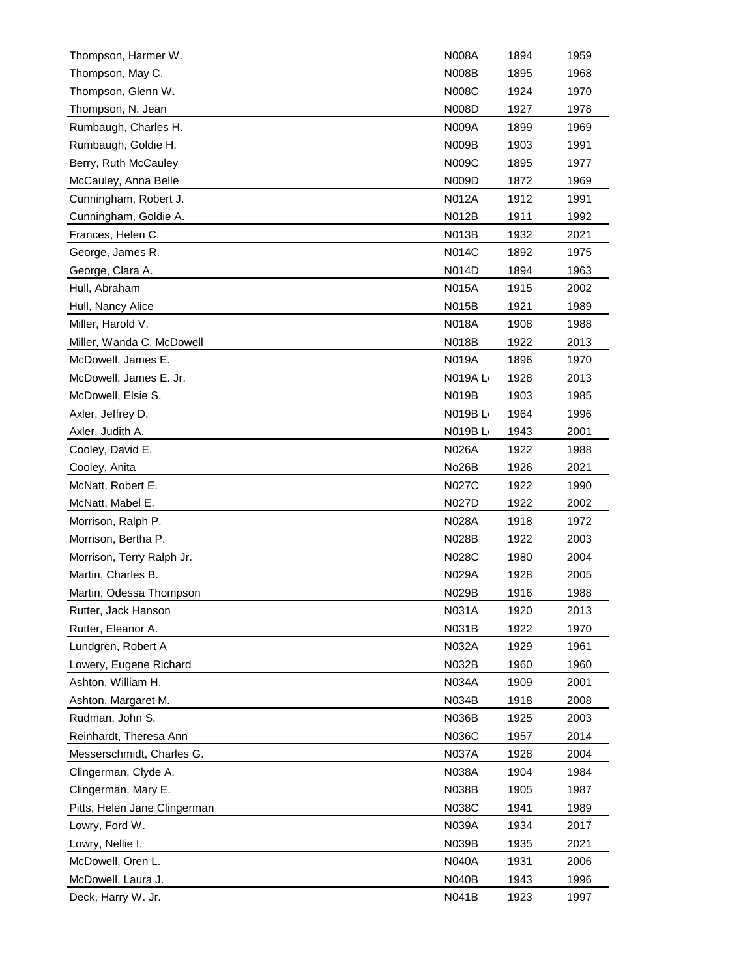| Thompson, Harmer W.          | <b>N008A</b> | 1894 | 1959 |
|------------------------------|--------------|------|------|
| Thompson, May C.             | <b>N008B</b> | 1895 | 1968 |
| Thompson, Glenn W.           | <b>N008C</b> | 1924 | 1970 |
| Thompson, N. Jean            | N008D        | 1927 | 1978 |
| Rumbaugh, Charles H.         | <b>N009A</b> | 1899 | 1969 |
| Rumbaugh, Goldie H.          | <b>N009B</b> | 1903 | 1991 |
| Berry, Ruth McCauley         | N009C        | 1895 | 1977 |
| McCauley, Anna Belle         | N009D        | 1872 | 1969 |
| Cunningham, Robert J.        | <b>N012A</b> | 1912 | 1991 |
| Cunningham, Goldie A.        | N012B        | 1911 | 1992 |
| Frances, Helen C.            | N013B        | 1932 | 2021 |
| George, James R.             | <b>N014C</b> | 1892 | 1975 |
| George, Clara A.             | N014D        | 1894 | 1963 |
| Hull, Abraham                | <b>N015A</b> | 1915 | 2002 |
| Hull, Nancy Alice            | <b>N015B</b> | 1921 | 1989 |
| Miller, Harold V.            | <b>N018A</b> | 1908 | 1988 |
| Miller, Wanda C. McDowell    | N018B        | 1922 | 2013 |
| McDowell, James E.           | <b>N019A</b> | 1896 | 1970 |
| McDowell, James E. Jr.       | N019A L      | 1928 | 2013 |
| McDowell, Elsie S.           | <b>N019B</b> | 1903 | 1985 |
| Axler, Jeffrey D.            | N019B L      | 1964 | 1996 |
| Axler, Judith A.             | N019B L      | 1943 | 2001 |
| Cooley, David E.             | <b>N026A</b> | 1922 | 1988 |
| Cooley, Anita                | No26B        | 1926 | 2021 |
| McNatt, Robert E.            | <b>N027C</b> | 1922 | 1990 |
| McNatt, Mabel E.             | N027D        | 1922 | 2002 |
| Morrison, Ralph P.           | <b>N028A</b> | 1918 | 1972 |
| Morrison, Bertha P.          | <b>N028B</b> | 1922 | 2003 |
| Morrison, Terry Ralph Jr.    | N028C        | 1980 | 2004 |
| Martin, Charles B.           | <b>N029A</b> | 1928 | 2005 |
| Martin, Odessa Thompson      | N029B        | 1916 | 1988 |
| Rutter, Jack Hanson          | N031A        | 1920 | 2013 |
| Rutter, Eleanor A.           | N031B        | 1922 | 1970 |
| Lundgren, Robert A           | N032A        | 1929 | 1961 |
| Lowery, Eugene Richard       | N032B        | 1960 | 1960 |
| Ashton, William H.           | N034A        | 1909 | 2001 |
| Ashton, Margaret M.          | <b>N034B</b> | 1918 | 2008 |
| Rudman, John S.              | <b>N036B</b> | 1925 | 2003 |
| Reinhardt, Theresa Ann       | N036C        | 1957 | 2014 |
| Messerschmidt, Charles G.    | <b>N037A</b> | 1928 | 2004 |
| Clingerman, Clyde A.         | N038A        | 1904 | 1984 |
| Clingerman, Mary E.          | N038B        | 1905 | 1987 |
| Pitts, Helen Jane Clingerman | N038C        | 1941 | 1989 |
| Lowry, Ford W.               | N039A        | 1934 | 2017 |
| Lowry, Nellie I.             | N039B        | 1935 | 2021 |
| McDowell, Oren L.            | <b>N040A</b> | 1931 | 2006 |
| McDowell, Laura J.           | N040B        | 1943 | 1996 |
| Deck, Harry W. Jr.           | N041B        | 1923 | 1997 |
|                              |              |      |      |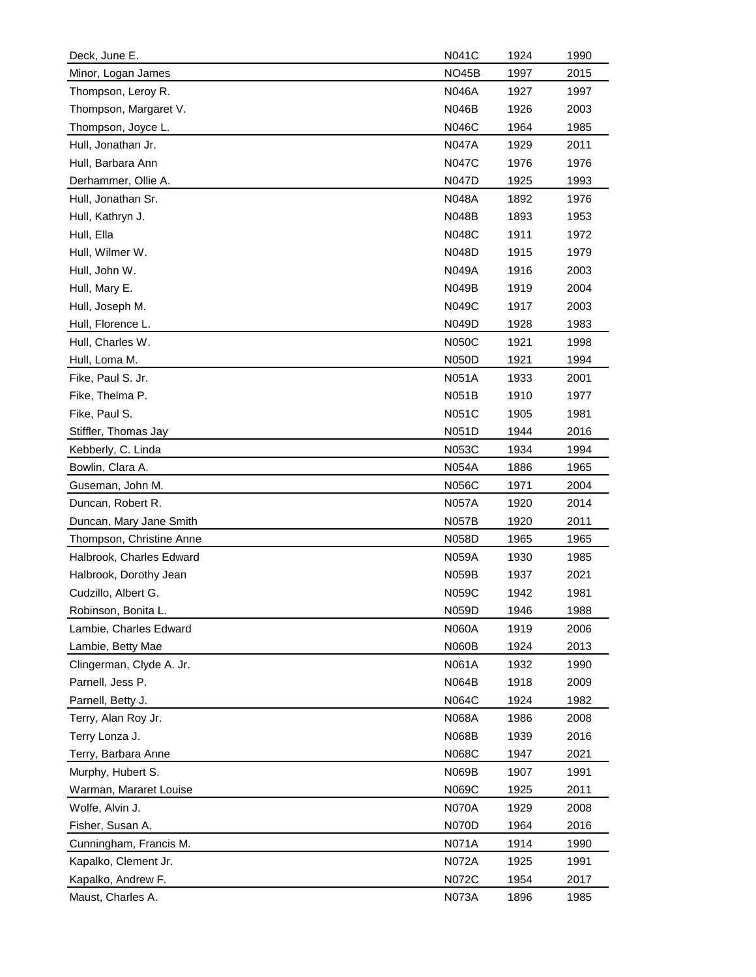| Deck, June E.            | N041C        | 1924 | 1990 |
|--------------------------|--------------|------|------|
| Minor, Logan James       | NO45B        | 1997 | 2015 |
| Thompson, Leroy R.       | <b>N046A</b> | 1927 | 1997 |
| Thompson, Margaret V.    | <b>N046B</b> | 1926 | 2003 |
| Thompson, Joyce L.       | N046C        | 1964 | 1985 |
| Hull, Jonathan Jr.       | <b>N047A</b> | 1929 | 2011 |
| Hull, Barbara Ann        | <b>N047C</b> | 1976 | 1976 |
| Derhammer, Ollie A.      | <b>N047D</b> | 1925 | 1993 |
| Hull, Jonathan Sr.       | <b>N048A</b> | 1892 | 1976 |
| Hull, Kathryn J.         | N048B        | 1893 | 1953 |
| Hull, Ella               | <b>N048C</b> | 1911 | 1972 |
| Hull, Wilmer W.          | N048D        | 1915 | 1979 |
| Hull, John W.            | N049A        | 1916 | 2003 |
| Hull, Mary E.            | N049B        | 1919 | 2004 |
| Hull, Joseph M.          | N049C        | 1917 | 2003 |
| Hull, Florence L.        | N049D        | 1928 | 1983 |
| Hull, Charles W.         | N050C        | 1921 | 1998 |
| Hull, Loma M.            | <b>N050D</b> | 1921 | 1994 |
| Fike, Paul S. Jr.        | <b>N051A</b> | 1933 | 2001 |
| Fike, Thelma P.          | <b>N051B</b> | 1910 | 1977 |
| Fike, Paul S.            | <b>N051C</b> | 1905 | 1981 |
|                          |              |      |      |
| Stiffler, Thomas Jay     | N051D        | 1944 | 2016 |
| Kebberly, C. Linda       | N053C        | 1934 | 1994 |
| Bowlin, Clara A.         | N054A        | 1886 | 1965 |
| Guseman, John M.         | N056C        | 1971 | 2004 |
| Duncan, Robert R.        | <b>N057A</b> | 1920 | 2014 |
| Duncan, Mary Jane Smith  | <b>N057B</b> | 1920 | 2011 |
| Thompson, Christine Anne | N058D        | 1965 | 1965 |
| Halbrook, Charles Edward | N059A        | 1930 | 1985 |
| Halbrook, Dorothy Jean   | N059B        | 1937 | 2021 |
| Cudzillo, Albert G.      | N059C        | 1942 | 1981 |
| Robinson, Bonita L.      | N059D        | 1946 | 1988 |
| Lambie, Charles Edward   | <b>N060A</b> | 1919 | 2006 |
| Lambie, Betty Mae        | <b>N060B</b> | 1924 | 2013 |
| Clingerman, Clyde A. Jr. | N061A        | 1932 | 1990 |
| Parnell, Jess P.         | N064B        | 1918 | 2009 |
| Parnell, Betty J.        | N064C        | 1924 | 1982 |
| Terry, Alan Roy Jr.      | N068A        | 1986 | 2008 |
| Terry Lonza J.           | N068B        | 1939 | 2016 |
| Terry, Barbara Anne      | N068C        | 1947 | 2021 |
| Murphy, Hubert S.        | N069B        | 1907 | 1991 |
| Warman, Mararet Louise   | N069C        | 1925 | 2011 |
| Wolfe, Alvin J.          | <b>N070A</b> | 1929 | 2008 |
| Fisher, Susan A.         | <b>N070D</b> | 1964 | 2016 |
| Cunningham, Francis M.   | N071A        | 1914 | 1990 |
| Kapalko, Clement Jr.     | <b>N072A</b> | 1925 | 1991 |
| Kapalko, Andrew F.       | N072C        | 1954 | 2017 |
| Maust, Charles A.        | N073A        | 1896 | 1985 |
|                          |              |      |      |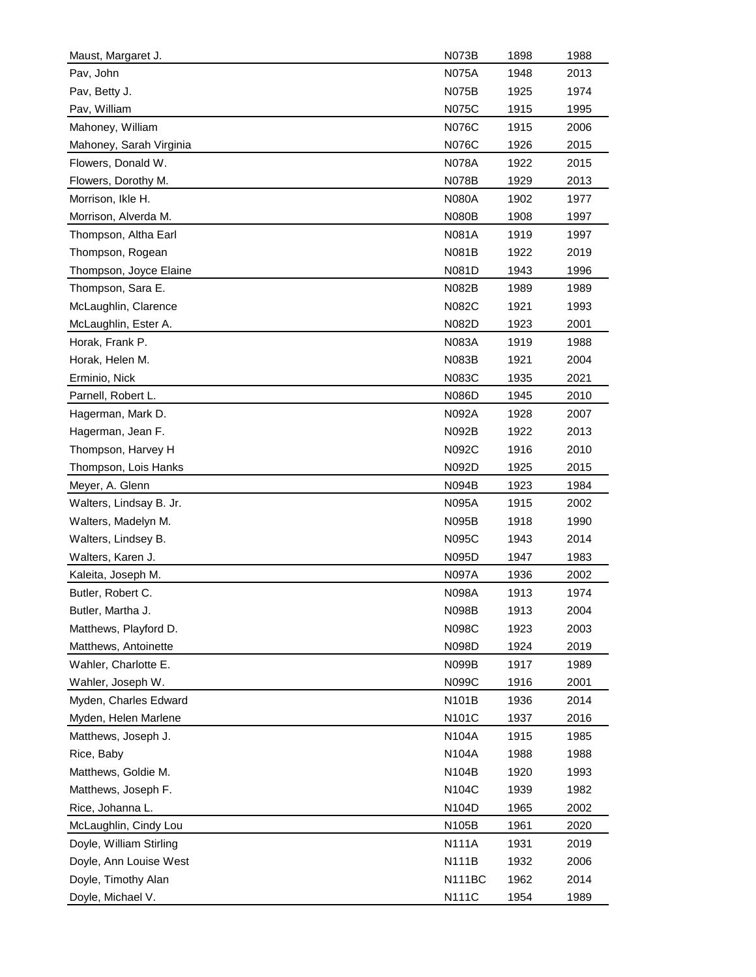| Maust, Margaret J.      | <b>N073B</b>  | 1898 | 1988 |
|-------------------------|---------------|------|------|
| Pav, John               | <b>N075A</b>  | 1948 | 2013 |
| Pav, Betty J.           | <b>N075B</b>  | 1925 | 1974 |
| Pav, William            | N075C         | 1915 | 1995 |
| Mahoney, William        | <b>N076C</b>  | 1915 | 2006 |
| Mahoney, Sarah Virginia | N076C         | 1926 | 2015 |
| Flowers, Donald W.      | <b>N078A</b>  | 1922 | 2015 |
| Flowers, Dorothy M.     | N078B         | 1929 | 2013 |
| Morrison, Ikle H.       | <b>N080A</b>  | 1902 | 1977 |
| Morrison, Alverda M.    | <b>N080B</b>  | 1908 | 1997 |
| Thompson, Altha Earl    | N081A         | 1919 | 1997 |
| Thompson, Rogean        | <b>N081B</b>  | 1922 | 2019 |
| Thompson, Joyce Elaine  | N081D         | 1943 | 1996 |
| Thompson, Sara E.       | <b>N082B</b>  | 1989 | 1989 |
| McLaughlin, Clarence    | N082C         | 1921 | 1993 |
| McLaughlin, Ester A.    | N082D         | 1923 | 2001 |
| Horak, Frank P.         | N083A         | 1919 | 1988 |
| Horak, Helen M.         | N083B         | 1921 | 2004 |
| Erminio, Nick           | N083C         | 1935 | 2021 |
| Parnell, Robert L.      | <b>N086D</b>  | 1945 | 2010 |
| Hagerman, Mark D.       | <b>N092A</b>  | 1928 | 2007 |
| Hagerman, Jean F.       | <b>N092B</b>  | 1922 | 2013 |
| Thompson, Harvey H      | N092C         | 1916 | 2010 |
| Thompson, Lois Hanks    | N092D         | 1925 | 2015 |
| Meyer, A. Glenn         | <b>N094B</b>  | 1923 | 1984 |
| Walters, Lindsay B. Jr. | <b>N095A</b>  | 1915 | 2002 |
| Walters, Madelyn M.     | <b>N095B</b>  | 1918 | 1990 |
| Walters, Lindsey B.     | N095C         | 1943 | 2014 |
| Walters, Karen J.       | N095D         | 1947 | 1983 |
| Kaleita, Joseph M.      | <b>N097A</b>  | 1936 | 2002 |
| Butler, Robert C.       | N098A         | 1913 | 1974 |
| Butler, Martha J.       | N098B         | 1913 | 2004 |
| Matthews, Playford D.   | <b>N098C</b>  | 1923 | 2003 |
| Matthews, Antoinette    | N098D         | 1924 | 2019 |
| Wahler, Charlotte E.    | N099B         | 1917 | 1989 |
| Wahler, Joseph W.       | N099C         | 1916 | 2001 |
| Myden, Charles Edward   | N101B         | 1936 | 2014 |
| Myden, Helen Marlene    | N101C         | 1937 | 2016 |
| Matthews, Joseph J.     | N104A         | 1915 | 1985 |
| Rice, Baby              | N104A         | 1988 | 1988 |
| Matthews, Goldie M.     | N104B         | 1920 | 1993 |
| Matthews, Joseph F.     | N104C         | 1939 | 1982 |
| Rice, Johanna L.        | N104D         | 1965 | 2002 |
| McLaughlin, Cindy Lou   | N105B         | 1961 | 2020 |
| Doyle, William Stirling | <b>N111A</b>  | 1931 | 2019 |
| Doyle, Ann Louise West  | <b>N111B</b>  | 1932 | 2006 |
| Doyle, Timothy Alan     | <b>N111BC</b> | 1962 | 2014 |
| Doyle, Michael V.       | <b>N111C</b>  | 1954 | 1989 |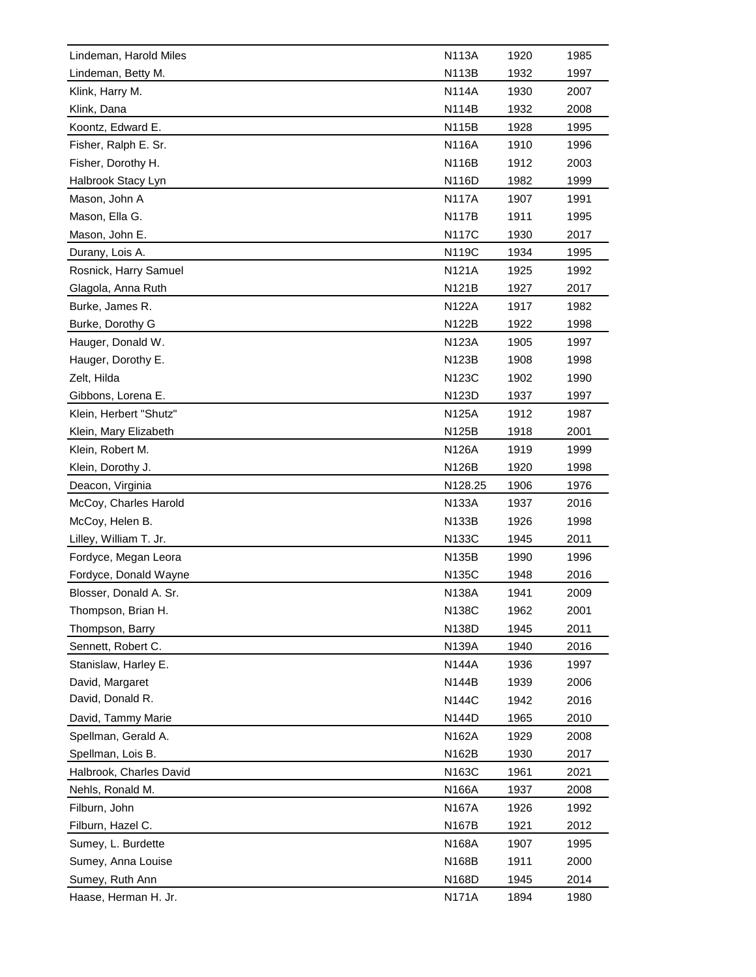| Lindeman, Harold Miles  | <b>N113A</b> | 1920 | 1985 |
|-------------------------|--------------|------|------|
| Lindeman, Betty M.      | N113B        | 1932 | 1997 |
| Klink, Harry M.         | <b>N114A</b> | 1930 | 2007 |
| Klink, Dana             | N114B        | 1932 | 2008 |
| Koontz, Edward E.       | <b>N115B</b> | 1928 | 1995 |
| Fisher, Ralph E. Sr.    | <b>N116A</b> | 1910 | 1996 |
| Fisher, Dorothy H.      | <b>N116B</b> | 1912 | 2003 |
| Halbrook Stacy Lyn      | N116D        | 1982 | 1999 |
| Mason, John A           | <b>N117A</b> | 1907 | 1991 |
| Mason, Ella G.          | <b>N117B</b> | 1911 | 1995 |
| Mason, John E.          | <b>N117C</b> | 1930 | 2017 |
| Durany, Lois A.         | N119C        | 1934 | 1995 |
| Rosnick, Harry Samuel   | <b>N121A</b> | 1925 | 1992 |
| Glagola, Anna Ruth      | <b>N121B</b> | 1927 | 2017 |
| Burke, James R.         | <b>N122A</b> | 1917 | 1982 |
| Burke, Dorothy G        | N122B        | 1922 | 1998 |
| Hauger, Donald W.       | <b>N123A</b> | 1905 | 1997 |
| Hauger, Dorothy E.      | <b>N123B</b> | 1908 | 1998 |
| Zelt, Hilda             | <b>N123C</b> | 1902 | 1990 |
| Gibbons, Lorena E.      | N123D        | 1937 | 1997 |
| Klein, Herbert "Shutz"  | N125A        | 1912 | 1987 |
| Klein, Mary Elizabeth   | N125B        | 1918 | 2001 |
| Klein, Robert M.        | N126A        | 1919 | 1999 |
| Klein, Dorothy J.       | N126B        | 1920 | 1998 |
| Deacon, Virginia        | N128.25      | 1906 | 1976 |
| McCoy, Charles Harold   | <b>N133A</b> | 1937 | 2016 |
| McCoy, Helen B.         | N133B        | 1926 | 1998 |
| Lilley, William T. Jr.  | N133C        | 1945 | 2011 |
|                         | <b>N135B</b> | 1990 | 1996 |
| Fordyce, Megan Leora    |              |      | 2016 |
| Fordyce, Donald Wayne   | N135C        | 1948 |      |
| Blosser, Donald A. Sr.  | <b>N138A</b> | 1941 | 2009 |
| Thompson, Brian H.      | N138C        | 1962 | 2001 |
| Thompson, Barry         | N138D        | 1945 | 2011 |
| Sennett, Robert C.      | N139A        | 1940 | 2016 |
| Stanislaw, Harley E.    | <b>N144A</b> | 1936 | 1997 |
| David, Margaret         | <b>N144B</b> | 1939 | 2006 |
| David, Donald R.        | <b>N144C</b> | 1942 | 2016 |
| David, Tammy Marie      | N144D        | 1965 | 2010 |
| Spellman, Gerald A.     | N162A        | 1929 | 2008 |
| Spellman, Lois B.       | N162B        | 1930 | 2017 |
| Halbrook, Charles David | N163C        | 1961 | 2021 |
| Nehls, Ronald M.        | N166A        | 1937 | 2008 |
| Filburn, John           | N167A        | 1926 | 1992 |
| Filburn, Hazel C.       | N167B        | 1921 | 2012 |
| Sumey, L. Burdette      | <b>N168A</b> | 1907 | 1995 |
| Sumey, Anna Louise      | N168B        | 1911 | 2000 |
| Sumey, Ruth Ann         | N168D        | 1945 | 2014 |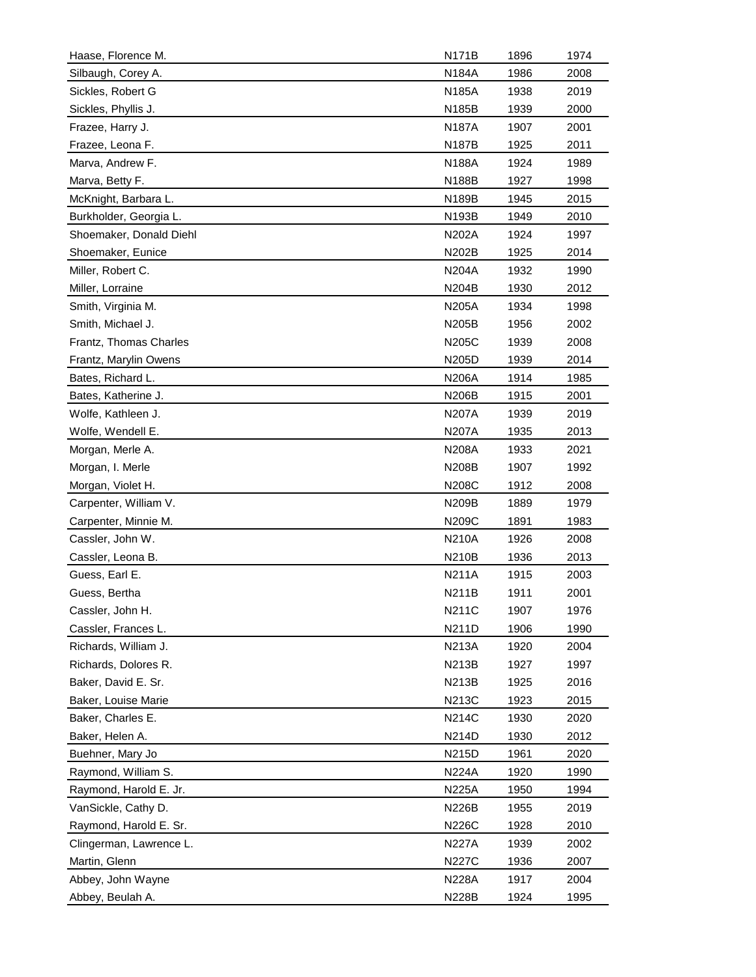| Haase, Florence M.      | <b>N171B</b> | 1896 | 1974 |
|-------------------------|--------------|------|------|
| Silbaugh, Corey A.      | N184A        | 1986 | 2008 |
| Sickles, Robert G       | <b>N185A</b> | 1938 | 2019 |
| Sickles, Phyllis J.     | N185B        | 1939 | 2000 |
| Frazee, Harry J.        | <b>N187A</b> | 1907 | 2001 |
| Frazee, Leona F.        | N187B        | 1925 | 2011 |
| Marva, Andrew F.        | <b>N188A</b> | 1924 | 1989 |
| Marva, Betty F.         | N188B        | 1927 | 1998 |
| McKnight, Barbara L.    | N189B        | 1945 | 2015 |
| Burkholder, Georgia L.  | N193B        | 1949 | 2010 |
| Shoemaker, Donald Diehl | N202A        | 1924 | 1997 |
| Shoemaker, Eunice       | N202B        | 1925 | 2014 |
| Miller, Robert C.       | N204A        | 1932 | 1990 |
| Miller, Lorraine        | N204B        | 1930 | 2012 |
| Smith, Virginia M.      | <b>N205A</b> | 1934 | 1998 |
| Smith, Michael J.       | N205B        | 1956 | 2002 |
| Frantz, Thomas Charles  | <b>N205C</b> | 1939 | 2008 |
| Frantz, Marylin Owens   | N205D        | 1939 | 2014 |
| Bates, Richard L.       | N206A        | 1914 | 1985 |
| Bates, Katherine J.     | N206B        | 1915 | 2001 |
| Wolfe, Kathleen J.      | N207A        | 1939 | 2019 |
| Wolfe, Wendell E.       | <b>N207A</b> | 1935 | 2013 |
| Morgan, Merle A.        | N208A        | 1933 | 2021 |
| Morgan, I. Merle        | N208B        | 1907 | 1992 |
| Morgan, Violet H.       | N208C        | 1912 | 2008 |
| Carpenter, William V.   | N209B        | 1889 | 1979 |
| Carpenter, Minnie M.    | N209C        | 1891 | 1983 |
| Cassler, John W.        | <b>N210A</b> | 1926 | 2008 |
| Cassler, Leona B.       | <b>N210B</b> | 1936 | 2013 |
| Guess, Earl E.          | <b>N211A</b> | 1915 | 2003 |
| Guess, Bertha           | N211B        | 1911 | 2001 |
| Cassler, John H.        | <b>N211C</b> | 1907 | 1976 |
| Cassler, Frances L.     | N211D        | 1906 | 1990 |
| Richards, William J.    | <b>N213A</b> | 1920 | 2004 |
|                         |              |      |      |
| Richards, Dolores R.    | N213B        | 1927 | 1997 |
| Baker, David E. Sr.     | <b>N213B</b> | 1925 | 2016 |
| Baker, Louise Marie     | N213C        | 1923 | 2015 |
| Baker, Charles E.       | <b>N214C</b> | 1930 | 2020 |
| Baker, Helen A.         | N214D        | 1930 | 2012 |
| Buehner, Mary Jo        | N215D        | 1961 | 2020 |
| Raymond, William S.     | <b>N224A</b> | 1920 | 1990 |
| Raymond, Harold E. Jr.  | N225A        | 1950 | 1994 |
| VanSickle, Cathy D.     | N226B        | 1955 | 2019 |
| Raymond, Harold E. Sr.  | <b>N226C</b> | 1928 | 2010 |
| Clingerman, Lawrence L. | N227A        | 1939 | 2002 |
| Martin, Glenn           | <b>N227C</b> | 1936 | 2007 |
| Abbey, John Wayne       | <b>N228A</b> | 1917 | 2004 |
| Abbey, Beulah A.        | N228B        | 1924 | 1995 |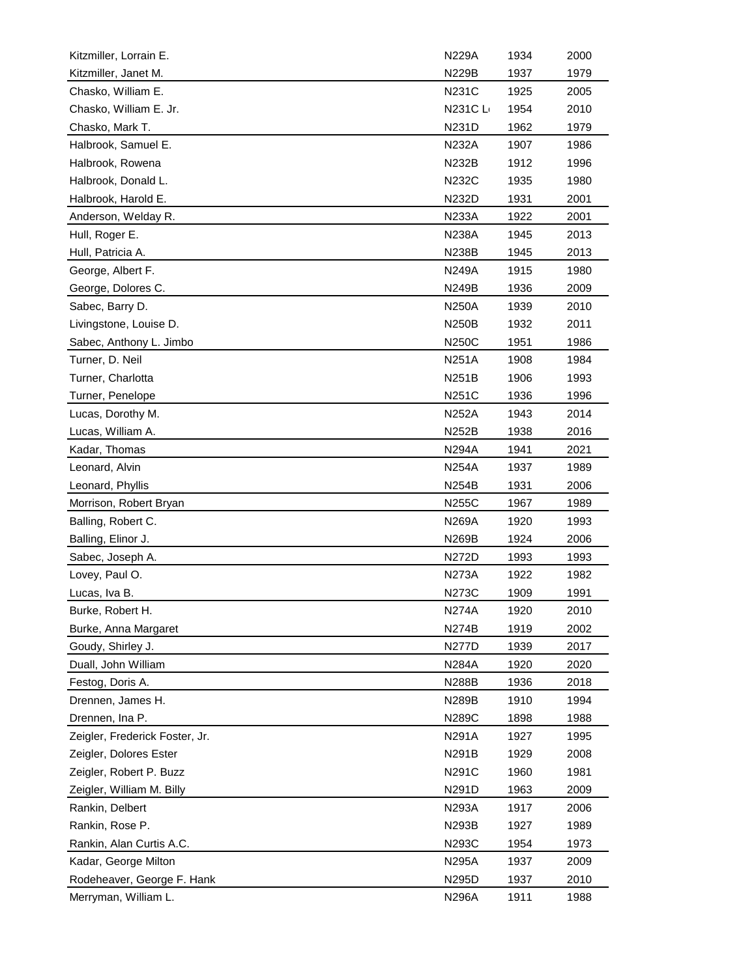| Kitzmiller, Lorrain E.         | N229A        | 1934 | 2000 |
|--------------------------------|--------------|------|------|
| Kitzmiller, Janet M.           | <b>N229B</b> | 1937 | 1979 |
| Chasko, William E.             | <b>N231C</b> | 1925 | 2005 |
| Chasko, William E. Jr.         | N231C L      | 1954 | 2010 |
| Chasko, Mark T.                | N231D        | 1962 | 1979 |
| Halbrook, Samuel E.            | <b>N232A</b> | 1907 | 1986 |
| Halbrook, Rowena               | <b>N232B</b> | 1912 | 1996 |
| Halbrook, Donald L.            | <b>N232C</b> | 1935 | 1980 |
| Halbrook, Harold E.            | N232D        | 1931 | 2001 |
| Anderson, Welday R.            | N233A        | 1922 | 2001 |
| Hull, Roger E.                 | N238A        | 1945 | 2013 |
| Hull, Patricia A.              | N238B        | 1945 | 2013 |
| George, Albert F.              | <b>N249A</b> | 1915 | 1980 |
| George, Dolores C.             | N249B        | 1936 | 2009 |
| Sabec, Barry D.                | <b>N250A</b> | 1939 | 2010 |
| Livingstone, Louise D.         | <b>N250B</b> | 1932 | 2011 |
| Sabec, Anthony L. Jimbo        | N250C        | 1951 | 1986 |
| Turner, D. Neil                | <b>N251A</b> | 1908 | 1984 |
| Turner, Charlotta              | <b>N251B</b> | 1906 | 1993 |
| Turner, Penelope               | N251C        | 1936 | 1996 |
| Lucas, Dorothy M.              | <b>N252A</b> | 1943 | 2014 |
| Lucas, William A.              | N252B        | 1938 | 2016 |
| Kadar, Thomas                  | N294A        | 1941 | 2021 |
| Leonard, Alvin                 | <b>N254A</b> | 1937 | 1989 |
| Leonard, Phyllis               | N254B        | 1931 | 2006 |
| Morrison, Robert Bryan         | N255C        | 1967 | 1989 |
| Balling, Robert C.             | N269A        | 1920 | 1993 |
| Balling, Elinor J.             | N269B        | 1924 | 2006 |
| Sabec, Joseph A.               | N272D        | 1993 | 1993 |
| Lovey, Paul O.                 | N273A        | 1922 | 1982 |
| Lucas, Iva B.                  | <b>N273C</b> | 1909 | 1991 |
| Burke, Robert H.               | <b>N274A</b> | 1920 | 2010 |
| Burke, Anna Margaret           | <b>N274B</b> | 1919 | 2002 |
| Goudy, Shirley J.              | <b>N277D</b> | 1939 | 2017 |
| Duall, John William            | N284A        | 1920 | 2020 |
| Festog, Doris A.               | N288B        | 1936 | 2018 |
| Drennen, James H.              | <b>N289B</b> | 1910 | 1994 |
| Drennen, Ina P.                | N289C        | 1898 | 1988 |
| Zeigler, Frederick Foster, Jr. | <b>N291A</b> | 1927 | 1995 |
| Zeigler, Dolores Ester         | N291B        | 1929 | 2008 |
| Zeigler, Robert P. Buzz        | N291C        | 1960 | 1981 |
| Zeigler, William M. Billy      | N291D        | 1963 | 2009 |
| Rankin, Delbert                | N293A        | 1917 | 2006 |
| Rankin, Rose P.                | N293B        | 1927 | 1989 |
| Rankin, Alan Curtis A.C.       | N293C        | 1954 | 1973 |
| Kadar, George Milton           | <b>N295A</b> |      |      |
|                                |              | 1937 | 2009 |
| Rodeheaver, George F. Hank     | N295D        | 1937 | 2010 |
| Merryman, William L.           | N296A        | 1911 | 1988 |